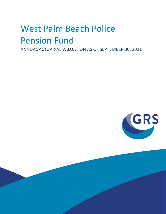# West Palm Beach Police Pension Fund

ANNUAL ACTUARIAL VALUATION AS OF SEPTEMBER 30, 2021

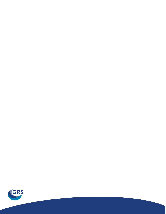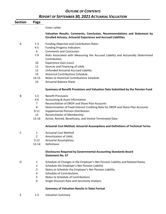### *OUTLINE OF CONTENTS REPORT OF SEPTEMBER 30, 2021 ACTUARIAL VALUATION*

| <b>Section</b> | Page           |                                                                                                                                                    |
|----------------|----------------|----------------------------------------------------------------------------------------------------------------------------------------------------|
|                | - -            | Cover Letter                                                                                                                                       |
|                |                | Valuation Results, Comments, Conclusion, Recommendations and Statement by<br><b>Enrolled Actuary, Actuarial Experience and Accrued Liabilities</b> |
| A              | $1 - 3$        | <b>Funding Objective and Contribution Rates</b>                                                                                                    |
|                | $4 - 5$        | <b>Funding Progress Indicators</b>                                                                                                                 |
|                | 6              | <b>Comments and Conclusion</b>                                                                                                                     |
|                | $7-9$          | Risks Associated with Measuring the Accrued Liability and Actuarially Determined<br>Contribution                                                   |
|                | 10             | <b>Experience Gain (Loss)</b>                                                                                                                      |
|                | 11             | Sources and Financing of UAAL                                                                                                                      |
|                | 12             | Unfunded Actuarial Accrued Liability                                                                                                               |
|                | 13             | <b>Historical Contributions Schedule</b>                                                                                                           |
|                | $14 - 15$      | Notes to Historical Contributions Schedule                                                                                                         |
|                | 16             | <b>Actuarial Balance Sheet</b>                                                                                                                     |
|                |                | Summary of Benefit Provisions and Valuation Data Submitted by the Pension Fund                                                                     |
| В              | $1 - 3$        | <b>Benefit Provisions</b>                                                                                                                          |
|                | $4 - 6$        | <b>Accounting &amp; Asset Information</b>                                                                                                          |
|                | $\overline{7}$ | Reconciliation of DROP and Share Plan Accounts                                                                                                     |
|                | 8              | Determination of Fixed Interest Crediting Rate for DROP and Share Plan Accounts                                                                    |
|                | $9 - 11$       | <b>Supplemental Pension Distribution</b>                                                                                                           |
|                | 12             | <b>Reconciliation of Membership</b>                                                                                                                |
|                | 13-16          | Active, Retired, Beneficiary, and Vested Terminated Data                                                                                           |
|                |                | <b>Actuarial Cost Method, Actuarial Assumptions and Definitions of Technical Terms</b>                                                             |
| $\mathsf{C}$   | 1              | <b>Actuarial Cost Method</b>                                                                                                                       |
|                | $\overline{2}$ | Amortization of UAAL                                                                                                                               |
|                | $3-12$         | <b>Actuarial Assumptions</b>                                                                                                                       |
|                | $13 - 14$      | Definitions                                                                                                                                        |
|                |                | <b>Disclosures Required by Governmental Accounting Standards Board</b><br><b>Statement No. 67</b>                                                  |
| D              | 1              | Schedule of Changes in the Employer's Net Pension Liability and Related Ratios                                                                     |
|                | $\overline{2}$ | Schedule the Employer's Net Pension Liability                                                                                                      |
|                | 3              | Notes to Schedule the Employer's Net Pension Liability                                                                                             |
|                | 4              | Schedule of Contributions                                                                                                                          |
|                | 5              | Notes to Schedule of Contributions                                                                                                                 |
|                | 6              | Single Discount Rate and Sensitivity Analysis                                                                                                      |
|                |                | <b>Summary of Valuation Results in State Format</b>                                                                                                |

E 1-3 Valuation Summary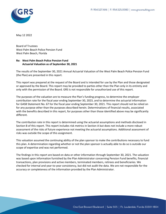

May 12 2022

Board of Trustees West Palm Beach Police Pension Fund West Palm Beach, Florida

#### **Re: West Palm Beach Police Pension Fund Actuarial Valuation as of September 30, 2021**

The results of the September 30, 2021 Annual Actuarial Valuation of the West Palm Beach Police Pension Fund (the Plan) are presented in this report.

This report was prepared at the request of the Board and is intended for use by the Plan and those designated or approved by the Board. This report may be provided to parties other than the Plan only in its entirety and only with the permission of the Board. GRS is not responsible for unauthorized use of this report.

The purposes of the valuation are to measure the Plan's funding progress, to determine the employer contribution rate for the fiscal year ending September 30, 2023, and to determine the actuarial information for GASB Statement No. 67 for the fiscal year ending September 30, 2021. This report should not be relied on for any purpose other than the purposes described herein. Determinations of financial results, associated with the benefits described in this report, for purposes other than those identified above may be significantly different.

The contribution rate in this report is determined using the actuarial assumptions and methods disclosed in Section B of this report. This report includes risk metrics in Section A but does not include a more robust assessment of the risks of future experience not meeting the actuarial assumptions. Additional assessment of risks was outside the scope of this assignment.

This valuation assumed the continuing ability of the plan sponsor to make the contributions necessary to fund this plan. A determination regarding whether or not the plan sponsor is actually able to do so is outside our scope of expertise and was not performed.

The findings in this report are based on data or other information through September 30, 2021. The valuation was based upon information furnished by the Plan Administrator concerning Pension Fund benefits, financial transactions, plan provisions and active members, terminated members, retirees and beneficiaries. We checked for internal and year-to-year consistency, but did not audit the data. We are not responsible for the accuracy or completeness of the information provided by the Plan Administrator.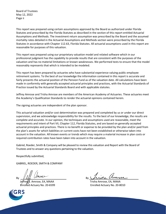Board of Trustees May 12, 2022 Page ii

This report was prepared using certain assumptions approved by the Board as authorized under Florida Statutes and prescribed by the Florida Statutes as described in the section of this report entitled Actuarial Assumptions and Methods. The investment return assumption was prescribed by the Board and the assumed mortality rates detailed in the Actuarial Assumptions and Methods section were prescribed by the Florida Statutes in accordance with Chapter 112.63, Florida Statutes. All actuarial assumptions used in this report are reasonable for purposes of this valuation.

This report was prepared using our proprietary valuation model and related software which in our professional judgment has the capability to provide results that are consistent with the purposes of the valuation and has no material limitations or known weaknesses. We performed tests to ensure that the model reasonably represents that which is intended to be modeled.

This report has been prepared by actuaries who have substantial experience valuing public employee retirement systems. To the best of our knowledge the information contained in this report is accurate and fairly presents the actuarial position of the Pension Fund as of the valuation date. All calculations have been made in conformity with generally accepted actuarial principles and practices, with the Actuarial Standards of Practice issued by the Actuarial Standards Board and with applicable statutes.

Jeffrey Amrose and Trisha Amrose are members of the American Academy of Actuaries. These actuaries meet the Academy's Qualification Standards to render the actuarial opinions contained herein.

The signing actuaries are independent of the plan sponsor.

This actuarial valuation and/or cost determination was prepared and completed by us or under our direct supervision, and we acknowledge responsibility for the results. To the best of our knowledge, the results are complete and accurate. In our opinion, the techniques and assumptions used are reasonable, meet the requirements and intent of Part VII, Chapter 112, Florida Statutes, and are based on generally accepted actuarial principles and practices. There is no benefit or expense to be provided by the plan and/or paid from the plan's assets for which liabilities or current costs have not been established or otherwise taken into account in the valuation. All known events or trends which may require a material increase in plan costs or required contribution rates have been taken into account in the valuation.

Gabriel, Roeder, Smith & Company will be pleased to review this valuation and Report with the Board of Trustees and to answer any questions pertaining to the valuation.

Respectfully submitted,

GABRIEL, ROEDER, SMITH & COMPANY

Jeffrey/S. Amrose, EA, MAAA Trisha Amrose, EA, MAAA Enrolled Actuary No. 20-6599 Enrolled Actuary No. 20-8010



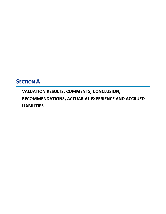# **SECTION A**

**VALUATION RESULTS, COMMENTS, CONCLUSION, RECOMMENDATIONS, ACTUARIAL EXPERIENCE AND ACCRUED LIABILITIES**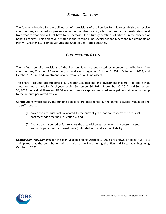The funding objective for the defined benefit provisions of the Pension Fund is to establish and receive contributions, expressed as percents of active member payroll, which will remain approximately level from year to year and will not have to be increased for future generations of citizens in the absence of benefit changes. This objective is stated in the Pension Fund special act and meets the requirements of Part VII, Chapter 112, Florida Statutes and Chapter 185 Florida Statutes.

#### *CONTRIBUTION RATES*

The defined benefit provisions of the Pension Fund are supported by member contributions, City contributions, Chapter 185 revenue (for fiscal years beginning October 1, 2011, October 1, 2012, and October 1, 2014), and investment income from Pension Fund assets.

The Share Accounts are supported by Chapter 185 receipts and investment income. No Share Plan allocations were made for fiscal years ending September 30, 2011, September 30, 2012, and September 30, 2014. Individual Share and DROP Accounts may accept accumulated leave paid out at termination up to the amount permitted by law.

Contributions which satisfy the funding objective are determined by the annual actuarial valuation and are sufficient to:

- (1) cover the actuarial costs allocated to the current year (normal cost) by the actuarial cost methods described in Section C; and
- (2) finance over a period of future years the actuarial costs not covered by present assets and anticipated future normal costs (unfunded actuarial accrued liability).

*Contribution requirements* for the plan year beginning October 1, 2022 are shown on page A-2. It is anticipated that the contribution will be paid to the Fund during the Plan and Fiscal year beginning October 1, 2022.

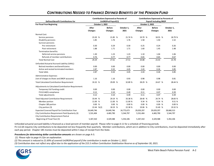| <b>Defined Benefit Contributions for</b>            | <b>Contributions Expressed as Percents of</b><br>UnDROPed Payroll(1) |  |                                 |  |                    | <b>Contributions Expressed as Percents of</b><br><b>Payroll Including DROP</b> |  |                                 |                    |
|-----------------------------------------------------|----------------------------------------------------------------------|--|---------------------------------|--|--------------------|--------------------------------------------------------------------------------|--|---------------------------------|--------------------|
| <b>For Fiscal Year Beginning</b>                    | October 1, 2022                                                      |  |                                 |  | October 1, 2022    |                                                                                |  |                                 |                    |
|                                                     | After<br>Changes                                                     |  | <b>Before</b><br><b>Changes</b> |  | October 1,<br>2021 | After<br>Changes                                                               |  | <b>Before</b><br><b>Changes</b> | October 1,<br>2021 |
| Normal Cost:                                        |                                                                      |  |                                 |  |                    |                                                                                |  |                                 |                    |
| Service pensions                                    | 23.20 %                                                              |  | 21.85 %                         |  | 21.74 %            | 19.70 %                                                                        |  | 18.55 %                         | 18.79 %            |
| Disability pensions                                 | 1.85                                                                 |  | 1.76                            |  | 1.76               | 1.58                                                                           |  | 1.50                            | 1.52               |
| Survivor pensions                                   |                                                                      |  |                                 |  |                    |                                                                                |  |                                 |                    |
| Pre-retirement                                      | 0.30                                                                 |  | 0.29                            |  | 0.30               | 0.25                                                                           |  | 0.24                            | 0.26               |
| Post-retirement                                     | 1.88                                                                 |  | 1.71                            |  | 1.71               | 1.60                                                                           |  | 1.45                            | 1.48               |
| Termination benefits:                               |                                                                      |  |                                 |  |                    |                                                                                |  |                                 |                    |
| Deferred service pensions                           | 1.30                                                                 |  | 1.23                            |  | 1.23               | 1.10                                                                           |  | 1.04                            | 1.06               |
| Refunds of member contributions                     | 0.76                                                                 |  | 0.77                            |  | 0.77               | 0.65                                                                           |  | 0.65                            | 0.67               |
| <b>Total Normal Cost</b>                            | 29.29                                                                |  | 27.61                           |  | 27.51              | 24.88                                                                          |  | 23.43                           | 23.78              |
| Unfunded Actuarial Accrued Liability (UAAL):        |                                                                      |  |                                 |  |                    |                                                                                |  |                                 |                    |
| Retired members and beneficiaries                   | 0.00                                                                 |  | 0.00                            |  | 0.00               | 0.00                                                                           |  | 0.00                            | 0.00               |
| Active and vested terminated members                | 2.87                                                                 |  | 0.32                            |  | 4.45               | 2.43                                                                           |  | 0.26                            | 3.85               |
| <b>Total UAAL</b>                                   | 2.87                                                                 |  | 0.32                            |  | 4.45               | 2.43                                                                           |  | 0.26                            | 3.85               |
| <b>Administrative Expenses</b>                      |                                                                      |  |                                 |  |                    |                                                                                |  |                                 |                    |
| (net of charges to Share and DROP accounts)         | 1.16                                                                 |  | 1.16                            |  | 0.93               | 0.98                                                                           |  | 0.98                            | 0.81               |
| <b>Total Calculated Contribution Requirement</b>    | 33.32 %                                                              |  | 29.09 %                         |  | 32.89 %            | 28.29 %                                                                        |  | 24.67 %                         | 28.44 %            |
| Adjustments to Calculated Contribution Requirement: |                                                                      |  |                                 |  |                    |                                                                                |  |                                 |                    |
| Temporary full funding credit                       | 0.00                                                                 |  | 0.00                            |  | 0.00               | 0.00                                                                           |  | 0.00                            | 0.00               |
| FS112.64(5) compliance                              | 0.12                                                                 |  | 0.10                            |  | 0.49               | 0.11                                                                           |  | 0.07                            | 0.39               |
| <b>Total adjustments</b>                            | 0.12                                                                 |  | 0.10                            |  | 0.49               | 0.11                                                                           |  | 0.07                            | 0.39               |
| Total Adjusted Contribution Requirement:            | 33.44 %                                                              |  | 29.19 %                         |  | 33.38 %            | 28.40 %                                                                        |  | 24.74 %                         | 28.83 %            |
| Member portion                                      | 11.00 %                                                              |  | 11.00 %                         |  | 11.00 %            | 9.34 %                                                                         |  | 9.34 %                          | 9.51 %             |
| Chapter 185 portion                                 | 0.00%                                                                |  | 0.00%                           |  | 0.00%              | 0.00%                                                                          |  | 0.00%                           | 0.00%              |
| City portion (3)                                    | 22.44 %(2)                                                           |  | 18.19 %                         |  | 22.38 %            | 19.06 %                                                                        |  | 15.40 %                         | 19.32 %            |
| Expected Covered Payroll for Contribution Year      | 24,649,746                                                           |  | 24,649,746                      |  | 24,775,673         | 29,029,297                                                                     |  | 29,029,297                      | 28,668,313         |
| City Contribution Requirement Paid Quarterly (3)    | 5,531,404                                                            |  | 4,483,790                       |  | 5,544,797          | 5,531,404                                                                      |  | 4,483,790                       | 5,544,797          |
| City Contribution Requirement Paid at               |                                                                      |  |                                 |  |                    |                                                                                |  |                                 |                    |
| Beginning of Fiscal Year (3)                        | 5,347,410                                                            |  | 4,329,588                       |  | 5,354,106          | 5,347,410                                                                      |  | 4,329,588                       | 5,354,106          |

### *CONTRIBUTIONS NEEDED TO FINANCE DEFINED BENEFITS OF THE PENSION FUND*

Unfunded actuarial accrued liability is financed as a level percent of member payroll. Please refer to page A-11 for a schedule of financing periods. FS 112.64 requires City contributions to be deposited not less frequently than quarterly. Member contributions, which are in addition to City contributions, must be deposited immediately after each pay period. Chapter 185 monies must be deposited within 5 days of receipt from the State.

*Procedures for determining dollar contribution amounts* are shown on page A-3.

*(1) Please refer to page A-3 for an explanation.*

*(2) This amount is reduced to 21.69% of covered UnDROPed payroll if the contribution is made on October 1, 2022.*

*(3) Contribution does not reflect any offset due to the application of the \$15.5 million Contribution Stabilization Reserve as of September 30, 2021.*

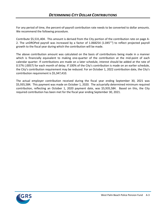For any period of time, the percent-of-payroll contribution rate needs to be converted to dollar amounts. We recommend the following procedure.

Contribute \$5,531,404. This amount is derived from the City portion of the contribution rate on page A-2. The unDROPed payroll was increased by a factor of 1.068254 (1.045<sup>1.5</sup>) to reflect projected payroll growth to the fiscal year during which the contribution will be made.

The above contribution amount was calculated on the basis of contributions being made in a manner which is financially equivalent to making one-quarter of the contribution at the mid-point of each calendar quarter. If contributions are made on a later schedule, interest should be added at the rate of 0.57% (.0057) for each month of delay. If 100% of the City's contribution is made on an earlier schedule, the City's contribution requirement may be reduced. For an October 1, 2022 contribution date, the City's contribution requirement is \$5,347,410.

The actual employer contribution received during the fiscal year ending September 30, 2021 was \$5,935,584. This payment was made on October 1, 2020. The actuarially determined minimum required contribution, reflecting an October 1, 2020 payment date, was \$5,935,584. Based on this, the City required contribution has been met for the fiscal year ending September 30, 2021.

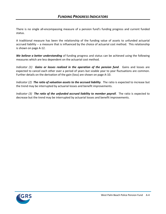There is no single all-encompassing measure of a pension fund's funding progress and current funded status.

A traditional measure has been the relationship of the funding value of assets to unfunded actuarial accrued liability -- a measure that is influenced by the choice of actuarial cost method. This relationship is shown on page A-12.

*We believe a better understanding* of funding progress and status can be achieved using the following measures which are less dependent on the actuarial cost method.

*Indicator (1) Gains or losses realized in the operation of the pension fund*. Gains and losses are expected to cancel each other over a period of years but sizable year to year fluctuations are common. Further details on the derivation of the gain (loss) are shown on page A-10.

*Indicator (2) The ratio of valuation assets to the accrued liability*. The ratio is expected to increase but the trend may be interrupted by actuarial losses and benefit improvements.

*Indicator (3) The ratio of the unfunded accrued liability to member payroll*. The ratio is expected to decrease but the trend may be interrupted by actuarial losses and benefit improvements.

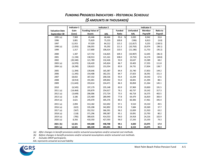### *FUNDING PROGRESS INDICATORS - HISTORICAL SCHEDULE*

|                       | Indicator 1 | <b>Indicator 2</b>      |            |               |                 | Indicator 3   |          |
|-----------------------|-------------|-------------------------|------------|---------------|-----------------|---------------|----------|
| <b>Valuation Date</b> | Gain        | <b>Funding Value of</b> |            | <b>Funded</b> | <b>Unfunded</b> | <b>Member</b> | Ratio to |
| September 30          | (Loss)      | Assets                  | <b>AAL</b> | Ratio         | <b>AAL</b>      | Payroll#      | Payroll  |
| 1995(a)               | 7,969       | 65,446                  | 68,466     | 95.6<br>%     | 3,020           | 8,942         | 33.8     |
| 1996                  | 3,801       | 75,829                  | 75,233     | 100.8         | (596)           | 8,813         | (6.8)    |
| 1997                  | 11,915      | 97,029                  | 84,212     | 115.2         | (12, 817)       | 9,255         | (138.5)  |
| 1998(a)               | (2,055)     | 106,055                 | 95,292     | 111.3         | (10, 763)       | 10,974        | (98.1)   |
| 1999                  | 1,317       | 117,800                 | 106,614    | 110.5         | (11, 186)       | 11,753        | (95.2)   |
| 2000                  | 1,307       | 127,732                 | 116,825    | 109.3         | (10, 907)       | 12,645        | (86.3)   |
| 2001                  | (1, 194)    | 130,913                 | 121,161    | 108.0         | (9, 752)        | 14,174        | (68.8)   |
| 2002                  | (20, 340)   | 121,789                 | 132,426    | 92.0          | 10,637          | 15,589        | 68.2     |
| 2003(a)               | (6,970)     | 126,420                 | 145,824    | 86.7          | 19,403          | 17,355        | 111.8    |
| 2004(a)               | (8, 290)    | 128,623                 | 153,354    | 83.9          | 24,731          | 17,834        | 138.7    |
| 2005                  | (1, 394)    | 139,646                 | 165,387    | 84.4          | 25,740          | 17,853        | 144.2    |
| 2006                  | (1, 345)    | 154,408                 | 182,231    | 84.7          | 27,823          | 18,391        | 151.3    |
| 2007                  | 18,832      | 187,332                 | 200,536    | 93.4          | 13,204          | 19,543        | 67.6     |
| 2008                  | (8, 914)    | 191,001                 | 209,842    | 91.0          | 18,841          | 21,394        | 88.1     |
| 2009                  | (11, 643)   | 193,614                 | 224,471    | 86.3          | 30,858          | 21,264        | 145.1    |
| 2010                  | (6, 545)    | 197,179                 | 235,148    | 83.9          | 37,969          | 19,830        | 191.5    |
| 2011(a)               | (14, 464)   | 193,879                 | 254,617    | 76.1          | 60,737          | 19,142        | 317.3    |
| 2012(a)               | (3,649)     | 206,006                 | 272,724    | 75.5          | 66,718          | 16,575        | 402.5    |
| 2013(a)               | 3,186       | 225,469                 | 289,949    | 77.8          | 64,479          | 16,819        | 383.4    |
| 2014 (a)              | 3,621       | 245,070                 | 305,376    | 80.3          | 60,306          | 17,461        | 345.4    |
| 2015(a)               | 2,094       | 313,182                 | 322,692    | 97.1          | 9,510           | 19,210        | 49.5     |
| 2016(a)               | (622)       | 335,208                 | 342,892    | 97.8          | 7,684           | 20,369        | 37.7     |
| 2017(a)               | (567)       | 352,552                 | 366,391    | 96.2          | 13,839          | 21,910        | 63.2     |
| 2018(a)               | (118)       | 371,296                 | 390,387    | 95.1          | 19,091          | 23,793        | 80.2     |
| 2019(a)               | (785)       | 389,635                 | 414,553    | 94.0          | 24,918          | 24,216        | 102.9    |
| 2020(a)               | 8,356       | 410,350                 | 427,593    | 96.0          | 17,243          | 23,193        | 74.3     |
| 2021(b)               | 12,321      | 444,688                 | 448,708    | 99.1          | 4,020           | 23,075        | 17.4     |
| 2021(a)               | 12,321      | 485,339                 | 493,491    | 98.3          | 8,153           | 23,075        | 35.3     |

### *(\$ AMOUNTS IN THOUSANDS)*

*(a) After changes in benefit provisions and/or actuarial assumptions and/or actuarial cost methods.* 

*(b) Before changes in benefit provisions and/or actuarial assumptions and/or actuarial cost methods.*

*# Excludes DROP participants.*

*AAL represents actuarial accrued liability*

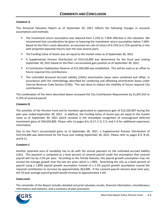#### **COMMENT A**

This Actuarial Valuation Report as of September 30, 2021 reflects the following changes in actuarial assumptions and methods:

- The investment return assumption was lowered from 7.25% to 7.00% effective in this valuation. We recommend that consideration be given to lowering the investment return assumption below 7.00%. Based on the Plan's asset allocation, an assumed net rate of return of 6.25% to 6.75% would be in line with projected expected returns over the next several years.
- **The Funding Value of Assets was set equal to the market value as of September 30, 2021.**
- A Supplemental Pension Distribution of \$19,516,400 was determined for the fiscal year ending September 30, 2021 based on the Plan's accumulated gain position as of September 30, 2021.
- A Contribution Stabilization Reserve of \$15,500,000 was established. This will be used as an offset to future required City contributions.
- The Unfunded Actuarial Accrued Liability (UAAL) amortization bases were combined and offset, in accordance with the methodology described for combining and offsetting amortization bases under Internal Revenue Code Section 412(b). This was done to reduce the volatility of future required City contributions.

The combination of the items described above increased the City Contribution Requirement by \$1,047,614 or 4.25% of covered payroll.

#### **COMMENT B**

The activities of the Pension Fund and its members generated an experience gain of \$12,320,907 during the plan year ended September 30, 2021. In addition, the Funding Value of Assets was set equal to the market value as of September 30, 2021 which resulted in the immediate recognition of unrecognized deferred investment gains of \$40,650,800. Please refer to pages B-6, B-17, C-4, C-5, and C-6 for additional experience information.

Due to the Plan's accumulated gains as of September 30, 2021, a Supplemental Pension Distribution of \$19,516,400 was determined for the fiscal year ending September 30, 2021. Please refer to pages B-9, B-10, and B-11.

#### **COMMENT C**

Another potential area of variability has to do with the annual payment on the unfunded accrued liability (UAL). This payment is computed as a level percent of covered payroll under the assumption that covered payroll will rise by 2.5% per year. According to the Florida Statutes, this payroll growth assumption may not exceed the average growth over the last ten years which is 1.89%. Amortizing the UAL as a level percent of payroll using a 1.89% payroll growth assumption instead of a 2.5% payroll growth assumption caused the required contribution to increase by approximately \$63,000. If the covered payroll remains level next year, the 10-year average payroll growth would increase to approximately 3.4%.

#### **CONCLUSION**

The remainder of the Report includes detailed actuarial valuation results, financial information, miscellaneous information and statistics, and a summary of plan provisions.

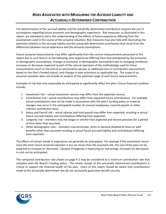### *RISKS ASSOCIATED WITH MEASURING THE ACCRUED LIABILITY AND ACTUARIALLY DETERMINED CONTRIBUTION*

The determination of the accrued liability and the actuarially determined contribution requires the use of assumptions regarding future economic and demographic experience. Risk measures, as illustrated in this report, are intended to aid in the understanding of the effects of future experience differing from the assumptions used in the course of the actuarial valuation. Risk measures may also help with illustrating the potential volatility in the accrued liability and the actuarially determined contribution that result from the differences between actual experience and the actuarial assumptions.

Future actuarial measurements may differ significantly from the current measurements presented in this report due to such factors as the following: plan experience differing from that anticipated by the economic or demographic assumptions; changes in economic or demographic assumptions due to changing conditions; increases or decreases expected as part of the natural operation of the methodology used for these measurements (such as the end of an amortization period, or additional cost or contribution requirements based on the Plan's funded status); and changes in plan provisions or applicable law. The scope of an actuarial valuation does not include an analysis of the potential range of such future measurements.

Examples of risk that may reasonably be anticipated to significantly affect the plan's future financial condition include:

- 1. Investment risk actual investment returns may differ from the expected returns;
- 2. Contribution risk actual contributions may differ from expected future contributions. For example, actual contributions may not be made in accordance with the plan's funding policy or material changes may occur in the anticipated number of covered employees, covered payroll, or other relevant contribution base;
- 3. Salary and Payroll risk actual salaries and total payroll may differ from expected, resulting in actual future accrued liability and contributions differing from expected;
- 4. Longevity risk members may live longer or shorter than expected and receive pensions for a period of time other than assumed;
- 5. Other demographic risks members may terminate, retire or become disabled at times or with benefits other than assumed resulting in actual future accrued liability and contributions differing from expected.

The effects of certain trends in experience can generally be anticipated. For example if the investment return since the most recent actuarial valuation is less (or more) than the assumed rate, the cost of the plan can be expected to increase (or decrease). Likewise if longevity is improving (or worsening), increases (or decreases) in cost can be anticipated.

The computed contribution rate shown on page A-2 may be considered as a minimum contribution rate that complies with the Board's funding policy. The timely receipt of the actuarially determined contributions is critical to support the financial health of the plan. Users of this report should be aware that contributions made at the actuarially determined rate do not necessarily guarantee benefit security.

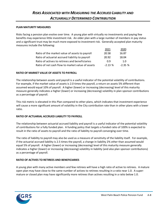#### **PLAN MATURITY MEASURES**

Risks facing a pension plan evolve over time. A young plan with virtually no investments and paying few benefits may experience little investment risk. An older plan with a large number of members in pay status and a significant trust may be much more exposed to investment risk. Generally accepted plan maturity measures include the following:

|                                                  | 2021     | 2020     |
|--------------------------------------------------|----------|----------|
| Ratio of the market value of assets to payroll   | 20.58    | 16.87    |
| Ratio of actuarial accrued liability to payroll  | 20.92    | 18.04    |
| Ratio of actives to retirees and beneficiaries   | 0.9      | 1.O      |
| Ratio of net cash flow to market value of assets | $-2.13%$ | $-2.35%$ |

#### **RATIO OF MARKET VALUE OF ASSETS TO PAYROLL**

The relationship between assets and payroll is a useful indicator of the potential volatility of contributions. For example, if the market value of assets is 2.0 times the payroll, a return on assets 5% different than assumed would equal 10% of payroll. A higher (lower) or increasing (decreasing) level of this maturity measure generally indicates a higher (lower) or increasing (decreasing) volatility in plan sponsor contributions as a percentage of payroll.

This risk metric is elevated in this Plan compared to other plans, which indicates that investment experience will cause a more significant amount of volatility in the City contribution rate than in other plans with a lower ratio.

#### **RATIO OF ACTUARIAL ACCRUED LIABILITY TO PAYROLL**

The relationship between actuarial accrued liability and payroll is a useful indicator of the potential volatility of contributions for a fully funded plan. A funding policy that targets a funded ratio of 100% is expected to result in the ratio of assets to payroll and the ratio of liability to payroll converging over time.

The ratio of liability to payroll may also be used as a measure of sensitivity of the liability itself. For example, if the actuarial accrued liability is 2.5 times the payroll, a change in liability 2% other than assumed would equal 5% of payroll. A higher (lower) or increasing (decreasing) level of this maturity measure generally indicates a higher (lower) or increasing (decreasing) volatility in liability (and also plan sponsor contributions) as a percentage of payroll.

#### **RATIO OF ACTIVES TO RETIREES AND BENEFICIARIES**

A young plan with many active members and few retirees will have a high ratio of active to retirees. A mature open plan may have close to the same number of actives to retirees resulting in a ratio near 1.0. A supermature or closed plan may have significantly more retirees than actives resulting in a ratio below 1.0.

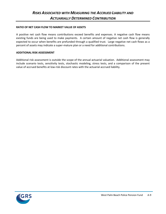#### **RATIO OF NET CASH FLOW TO MARKET VALUE OF ASSETS**

A positive net cash flow means contributions exceed benefits and expenses. A negative cash flow means existing funds are being used to make payments. A certain amount of negative net cash flow is generally expected to occur when benefits are prefunded through a qualified trust. Large negative net cash flows as a percent of assets may indicate a super-mature plan or a need for additional contributions.

#### **ADDITIONAL RISK ASSESSMENT**

Additional risk assessment is outside the scope of the annual actuarial valuation. Additional assessment may include scenario tests, sensitivity tests, stochastic modeling, stress tests, and a comparison of the present value of accrued benefits at low-risk discount rates with the actuarial accrued liability.

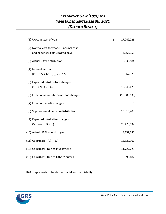### *EXPERIENCE GAIN (LOSS) FOR YEAR ENDED SEPTEMBER 30, 2021 (DEFINED BENEFIT)*

| (1) UAAL at start of year                                                | \$<br>17,242,726 |
|--------------------------------------------------------------------------|------------------|
| (2) Normal cost for year (ER normal cost<br>and expenses x unDROPed pay) | 4,066,355        |
| (3) Actual City Contribution                                             | 5,935,584        |
| (4) Interest accrual<br>$[(1) + 1/2 \times (2) - (3)] \times .0725$      | 967,173          |
| (5) Expected UAAL before changes<br>$(1) + (2) - (3) + (4)$              | 16,340,670       |
| (6) Effect of assumption/method changes                                  | (15, 383, 533)   |
| (7) Effect of benefit changes                                            | 0                |
| (8) Supplemental pension distribution                                    | 19,516,400       |
| (9) Expected UAAL after changes<br>$(5) + (6) + (7) + (8)$               | 20,473,537       |
| (10) Actual UAAL at end of year                                          | 8,152,630        |
| $(11)$ Gain/(Loss) $(9) - (10)$                                          | 12,320,907       |
| (12) Gain/(Loss) Due to Investment                                       | 11,727,225       |
| (13) Gain/(Loss) Due to Other Sources                                    | 593,682          |

UAAL represents unfunded actuarial accrued liability.

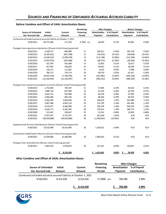### *SOURCES AND FINANCING OF UNFUNDED ACTUARIAL ACCRUED LIABILITY*

|                                                                                |                |                 | Remaining        | <b>After Changes</b> |              | <b>Before Changes</b> |              |  |
|--------------------------------------------------------------------------------|----------------|-----------------|------------------|----------------------|--------------|-----------------------|--------------|--|
| <b>Source of Unfunded</b>                                                      | <b>Initial</b> | Current         | <b>Financing</b> | Amortization         | % of Payroll | Amortization          | % of Payroll |  |
| Act. Accrued Liab.                                                             | Amount         | Amount          | Period           | Payment              | Contribution | Payment               | Contribution |  |
| Combined unfunded actuarial accrued liability at October 1, 2011               |                |                 |                  |                      |              |                       |              |  |
| 9/30/2011                                                                      | 60,737,449     | 271,763         | 4.7062 yrs.      | 64,650               | 0.27%        | 64,992                | 0.28%        |  |
|                                                                                |                |                 |                  |                      |              |                       |              |  |
| Changes from experience deviations (20 year initial financing period)          |                |                 |                  |                      |              |                       |              |  |
| 9/30/2012                                                                      | 3,649,317      | 883,890         | 11               | 103,911              | 0.44%        | 105,130               | 0.45%        |  |
| 9/30/2013                                                                      | (3, 185, 651)  | (867, 788)      | 12               | (95, 614)            | $(0.41)\%$   | (96, 828)             | $(0.41)\%$   |  |
| 9/30/2014                                                                      | (3,620,537)    | (1,094,078)     | 13               | (113, 748)           | (0.48)%      | (115, 299)            | (0.49)%      |  |
| 9/30/2015                                                                      | (2,093,970)    | (691, 968)      | 14               | (68, 275)            | $(0.29)$ %   | (69, 269)             | (0.29)%      |  |
| 9/30/2016                                                                      | 621,595        | 561,688         | 15               | 52,855               | 0.22%        | 53,672                | 0.23%        |  |
| 9/30/2017                                                                      | 567,465        | 550,850         | 16               | 49,647               | 0.21%        | 50,458                | 0.21%        |  |
| 9/30/2018                                                                      | 118,171        | 111,062         | 17               | 9,623                | 0.04%        | 9,788                 | 0.04%        |  |
| 9/30/2019                                                                      | 784,721        | 724,176         | 18               | 60,519               | 0.26%        | 61,611                | 0.26%        |  |
| 9/30/2020                                                                      | (8,355,556)    | (7,700,454)     | 19               | (622, 482)           | (2.64)%      | (634, 236)            | (2.69)%      |  |
| 9/30/2021                                                                      | (12, 320, 907) | (12, 320, 907)  | 20               | (965, 912)           | (4.09)%      | (984, 939)            | $(4.18)\%$   |  |
|                                                                                |                |                 |                  |                      |              |                       |              |  |
| Changes from actuarial assumption revisions (30 year initial financing period) |                |                 |                  |                      |              |                       |              |  |
| 9/30/2012                                                                      | 1,753,834      | 749,187         | 21               | 57,092               | 0.24%        | 58,262                | 0.25%        |  |
| 9/30/2013                                                                      | 1,880,736      | 827,609         | 22               | 61,433               | 0.26%        | 62,740                | 0.27%        |  |
| 9/30/2014                                                                      | 2,022,515      | 918,388         | 23               | 66,529               | 0.28%        | 67,995                | 0.29%        |  |
| 9/30/2015                                                                      | 2,066,046      | 965,256         | 24               | 68,356               | 0.29%        | 69,914                | 0.30%        |  |
| 9/30/2016                                                                      | 5,032,585      | 5,003,504       | 25               | 346,923              | 1.47%        | 355,080               | 1.51%        |  |
| 9/30/2017                                                                      | 3,897,386      | 4,042,110       | 26               | 274,793              | 1.16%        | 281,449               | 1.19%        |  |
| 9/30/2018                                                                      | 4,479,077      | 4,446,890       | 27               | 296,794              | 1.26%        | 304,190               | 1.29%        |  |
| 9/30/2019                                                                      | 4,426,171      | 4,262,305       | 28               | 279,615              | 1.19%        | 286,773               | 1.22%        |  |
| 9/30/2020                                                                      | 315,847        | 299,467         | 29               | 19,331               | 0.08%        | 19,839                | 0.08%        |  |
| 9/30/2021                                                                      | 9,767,267      | 9,767,267       | 30               | 621,030              | 2.63%        | N/A                   | N/A          |  |
| 9/30/2021                                                                      | (40, 650, 800) | (40, 650, 800)  | 30               | (2,584,691)          | $(10.96)\%$  | N/A                   | N/A          |  |
|                                                                                |                |                 |                  |                      |              |                       |              |  |
| Supplemental Pension Distributions (20 year initial financing period)          |                |                 |                  |                      |              |                       |              |  |
| 9/30/2021                                                                      | 19,516,400     | 19,516,400      | 20               | 1,530,012            | 6.49%        | N/A                   | N/A          |  |
| Contribution Stabilization Reserve (10 year initial financing period)          |                |                 |                  |                      |              |                       |              |  |
| 9/30/2021                                                                      |                |                 | 10               |                      | 8.31%        | N/A                   | N/A          |  |
|                                                                                | 15,500,000     | 15,500,000      |                  | 1,960,053            |              |                       |              |  |
| Changes from amendments (30 year initial financing period)                     |                |                 |                  |                      |              |                       |              |  |
| 9/30/2017                                                                      | 2,002,454      | 2,076,813       | 26               | 141,187              | 0.60%        | 144,607               | 0.61%        |  |
|                                                                                |                |                 |                  |                      |              |                       |              |  |
|                                                                                |                | 8,152,630<br>\$ |                  | 1,613,631<br>S       | 6.83%        | 95,929<br>\$          | 0.42%        |  |

#### **Before Combine and Offset of UAAL Amortization Bases:**

#### **After Combine and Offset of UAAL Amortization Bases:**

|           |                | Remaining                                                        | <b>After Changes</b> |                     |  |
|-----------|----------------|------------------------------------------------------------------|----------------------|---------------------|--|
| Initial   | <b>Current</b> | <b>Financing</b>                                                 | Amortization         | % of Pavroll        |  |
| Amount    | Amount         | Period                                                           | Payment              | <b>Contribution</b> |  |
|           |                |                                                                  |                      |                     |  |
| 8.152.630 | 8,152,630      |                                                                  | 706,384              | 2.99%               |  |
|           |                |                                                                  |                      |                     |  |
|           | 8,152,630      |                                                                  | 706,384              | 2.99%               |  |
|           |                | Combined unfunded actuarial accrued liability at October 1, 2021 |                      | 17.0000 yrs.        |  |



West Palm Beach Police Pension Fund A-11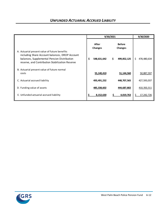|                                                                                                                                                  |                         | 9/30/2021 |                                 | 9/30/2020 |             |
|--------------------------------------------------------------------------------------------------------------------------------------------------|-------------------------|-----------|---------------------------------|-----------|-------------|
| A. Actuarial present value of future benefits                                                                                                    | After<br><b>Changes</b> |           | <b>Before</b><br><b>Changes</b> |           |             |
| including Share Account balances, DROP Account<br>balances, Supplemental Pension Distribution<br>reserve, and Contribution Stabilization Reserve | \$<br>548,631,642       | \$        | 499,852,125                     | S.        | 478,480,634 |
| B. Actuarial present value of future normal<br>costs                                                                                             | 55,140,410              |           | 51,144,560                      |           | 50,887,597  |
| C. Actuarial accrued liability                                                                                                                   | 493,491,232             |           | 448,707,565                     |           | 427,593,037 |
| D. Funding value of assets                                                                                                                       | 485,338,602             |           | 444,687,802                     |           | 410,350,311 |
| E. Unfunded actuarial accrued liability                                                                                                          | 8,152,630               |           | 4,019,763                       |           | 17,242,726  |

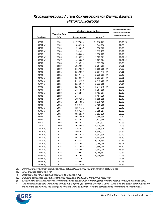### *RECOMMENDED AND ACTUAL CONTRIBUTIONS FOR DEFINED BENEFITS HISTORICAL SCHEDULE*

|                    |                               | <b>City Dollar Contributions</b> | <b>Recommended City</b><br><b>Percent of Payroll</b> |                           |
|--------------------|-------------------------------|----------------------------------|------------------------------------------------------|---------------------------|
| <b>Fiscal Year</b> | <b>Valuation Date</b><br>9/30 | Recommended                      | Actual*                                              | <b>Contribution Rates</b> |
| 82/83              | 1981                          | \$<br>777,053                    | \$818,769                                            | 23.93 %                   |
| $83/84$ (a)        | 1982                          | 865,930                          | 944,636                                              | 22.86                     |
| 84/85              | 1983                          | 913,867                          | 990,862                                              | 21.50                     |
| 85/86 (a)          | 1984                          | 961,431                          | 1,113,735                                            | 21.52                     |
| 86/87              | 1985                          | 986,683                          | 1,190,205                                            | 20.53                     |
| $87/88$ (a)        | 1986                          | 1,210,379                        | $1,585,161$ (1)                                      | 20.74 #                   |
| $88/89$ (a)        | 1987                          | 1,423,887                        | 1,627,024                                            | 22.01 #                   |
| 89/90              | 1988                          | 1,723,519                        | 1,937,986                                            | 23.28                     |
| 90/91              | 1989                          | 1,929,004                        | 2,264,201                                            | 24.01                     |
| 91/92              | 1990                          | 2,127,589                        | 1,658,885<br>@                                       | 24.80                     |
| 92/93              | 1991                          | 2,219,809                        | 2,117,441 @                                          | 24.11                     |
| 93/94              | 1992                          | 2,257,412                        | 2,235,881<br>@                                       | 23.42                     |
| 94/95 (a)          | 1993                          | 2,238,679                        | 2,213,297<br>@                                       | 23.81                     |
| $95/96$ (a)        | 1994                          | 2,446,700                        | 2,446,256 @                                          | 25.91                     |
| $96/97$ (a)        | 1995                          | 2,332,069                        | 2,332,069                                            | 24.24                     |
| 97/98              | 1996                          | 2,230,247                        | 1,747,540 @                                          | 23.52                     |
| 98/99              | 1997                          | 1,764,510                        | 1,764,510                                            | 17.72                     |
| $99/00$ (a)        | 1998                          | 1,462,965                        | 1,483,807                                            | 12.39                     |
| 00/01              | 1999                          | 1,474,445                        | 1,487,320                                            | 11.66                     |
| 01/02              | 2000                          | 1,699,292                        | 1,699,815                                            | 12.49                     |
| 02/03              | 2001                          | 1,974,891                        | 1,975,410                                            | 12.95                     |
| 03/04              | 2002                          | 3,498,786                        | 3,498,068                                            | 20.86                     |
| $04/05$ (a)        | 2003                          | 4,197,731                        | 4,197,731                                            | 22.48                     |
| $05/06$ (a)        | 2004                          | 3,799,257                        | 3,799,257                                            | 19.80                     |
| 06/07              | 2005                          | 3,812,530                        | 3,812,530                                            | 20.65                     |
| 07/08              | 2006                          | 4,056,590                        | 4,056,590                                            | 21.49                     |
| 08/09              | 2007                          | 3,433,646                        | 3,433,646                                            | 16.99                     |
| 09/10              | 2008                          | 4,057,571                        | 4,057,571                                            | 17.63                     |
| 10/11              | 2009                          | 5,028,968                        | 5,028,968                                            | 21.98                     |
| $11/12$ (a)        | 2010                          | 4,796,575                        | 4,796,576                                            | 27.15                     |
| $12/13$ (a)        | 2011                          | 6,506,923                        | 6,506,923                                            | 31.82                     |
| $13/14$ (a)        | 2012                          | 8,941,538                        | 8,941,538                                            | 50.50                     |
| $14/15$ (a)        | 2013                          | 8,644,805                        | 8,644,805                                            | 48.30                     |
| $15/16$ (a)        | 2014                          | 9,726,454                        | 9,726,454                                            | 52.14                     |
| $16/17$ (a)        | 2015                          | 3,285,065                        | 3,285,065                                            | 15.91                     |
| $17/18$ (a)        | 2016                          | 3,131,968                        | 3,556,968                                            | 14.39                     |
| $18/19$ (a)        | 2017                          | 4,363,006                        | 4,363,006                                            | 18.64                     |
| 19/20 (a)          | 2018                          | 5,240,652                        | 5,240,652                                            | 20.62                     |
| $20/21$ (a)        | 2019                          | 5,935,584                        | 5,935,584                                            | 22.95                     |
| $21/22$ (a)        | 2020                          | 5,354,106                        |                                                      | 21.61                     |
| $22/23$ (b)        | 2021                          | 4,329,588                        |                                                      | 17.56                     |
| $22/23$ (a)        | 2021                          | 5,347,410                        |                                                      | 21.69                     |

 *(b) Before changes in benefit provisions and/or actuarial assumptions and/or actuarial cost methods.*

*(a) After changes described in (b).*

*# Recomputed to reflect 1988 Amendments to the Special Act.*

*(1) Including compliance issue City contribution receivable of \$267,441 from 87/88 fiscal year.*

*@ Excluding the difference between recommended and actual which was transferred from the reserve for prepaid contributions.* 

*\* The actual contributions were made throughout the fiscal year prior to October 1, 2006. Since then, the actual contributions are made at the beginning of the fiscal year, resulting in the adjustment from the corresponding recommended contributions.* 

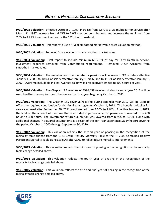**9/30/1998 Valuation:** Effective October 1, 1999, increase from 2.5% to 3.0% multiplier for service after March 31, 1987, increase from 6.45% to 7.0% member contributions, and increase the minimum from 7.0% to 8.25% investment return for the 13<sup>th</sup> check threshold.

**9/30/2001 Valuation:** First report to use a 4-year smoothed market value asset valuation method.

**9/30/2002 Valuation:** Removed Share Accounts from smoothed market value.

**9/30/2003 Valuation:** First report to include minimum 66 2/3% of pay for Duty Death in service. Investment expenses removed from Contribution requirement. Removed DROP Accounts from smoothed market value.

**9/30/2004 Valuation:** The member contribution rate for pensions will increase to 9% of salary effective January 1, 2005, to 10.0% of salary effective January 1, 2006, and to 11.0% of salary effective January 1, 2007. Overtime includable in Final Average Salary was prospectively limited to 400 hours per year.

**9/30/2010 Valuation:** The Chapter 185 revenue of \$996,459 received during calendar year 2011 will be used to offset the required contribution for the fiscal year beginning October 1, 2011.

**9/30/2011 Valuation:** The Chapter 185 revenue received during calendar year 2012 will be used to offset the required contribution for the fiscal year beginning October 1, 2012. The benefit multiplier for service accrued after September 30, 2011 was lowered from 3.00% to 2.68%. Effective January 1, 2013, the limit on the amount of overtime that is included in pensionable compensation is lowered from 400 hours to 300 hours. The investment return assumption was lowered from 8.25% to 8.00%, along with additional changes in actuarial assumptions as a result of the Ten-Year Experience Study Report covering the period October 1, 2000 through September 30, 2010.

**9/30/2012 Valuation:** This valuation reflects the second year of phasing in the recognition of the mortality table change from the 1983 Group Annuity Mortality Table to the RP-2000 Combined Healthy Participant Mortality Table using Scale AA after 2000 to reflect future mortality improvements.

**9/30/2013 Valuation:** This valuation reflects the third year of phasing in the recognition of the mortality table change detailed above.

**9/30/2014 Valuation:** This valuation reflects the fourth year of phasing in the recognition of the mortality table change detailed above.

**9/30/2015 Valuation:** This valuation reflects the fifth and final year of phasing in the recognition of the mortality table change detailed above.

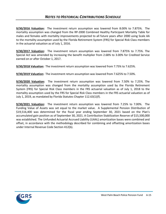**9/30/2016 Valuation:** The investment return assumption was lowered from 8.00% to 7.875%. The mortality assumption was changed from the RP-2000 Combined Healthy Participant Mortality Table for males and females with mortality improvements projected to all future years after 2000 using Scale AA to the mortality assumption used by the Florida Retirement System (FRS) for Special Risk Class members in the actuarial valuation as of July 1, 2016.

**9/30/2017 Valuation:** The investment return assumption was lowered from 7.875% to 7.75%. The Special Act was amended by increasing the benefit multiplier from 2.68% to 3.00% for Credited Service earned on or after October 1, 2017.

**9/30/2018 Valuation:** The investment return assumption was lowered from 7.75% to 7.625%.

**9/30/2019 Valuation:** The investment return assumption was lowered from 7.625% to 7.50%.

**9/30/2020 Valuation:** The investment return assumption was lowered from 7.50% to 7.25%. The mortality assumption was changed from the mortality assumption used by the Florida Retirement System (FRS) for Special Risk Class members in the FRS actuarial valuation as of July 1, 2018 to the mortality assumption used by the FRS for Special Risk Class members in the FRS actuarial valuation as of July 1, 2019, as mandated by Florida Statutes Chapter 112.63(1)(f).

**9/30/2021 Valuation:** The investment return assumption was lowered from 7.25% to 7.00%. The Funding Value of Assets was set equal to the market value. A Supplemental Pension Distribution of \$19,516,400 was determined for the fiscal year ending September 30, 2021 based on the Plan's accumulated gain position as of September 30, 2021. A Contribution Stabilization Reserve of \$15,500,000 was established. The Unfunded Actuarial Accrued Liability (UAAL) amortization bases were combined and offset, in accordance with the methodology described for combining and offsetting amortization bases under Internal Revenue Code Section 412(b).

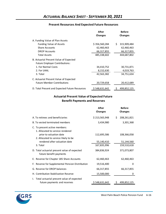#### **Present Resources And Expected Future Resources**

|                                                                                 | After<br><b>Changes</b> | <b>Before</b><br><b>Changes</b> |
|---------------------------------------------------------------------------------|-------------------------|---------------------------------|
| A. Funding Value of Plan Assets                                                 |                         |                                 |
| <b>Funding Value of Assets</b>                                                  | \$356,560,284           | Š.<br>315,909,484               |
| <b>Share Accounts</b>                                                           | 62,460,463              | 62,460,463                      |
| <b>DROP Accounts</b>                                                            | 66,317,855              | 66,317,855                      |
| <b>Total Assets</b>                                                             | 485,338,602             | 444,687,802                     |
| B. Actuarial Present Value of Expected<br><b>Future Employer Contributions:</b> |                         |                                 |
| 1. For Normal Costs                                                             | 34,410,752              | 30,731,871                      |
| 2. For UAAL                                                                     | 8,152,630               | 4,019,763                       |
| 3. Total                                                                        | 42,563,382              | 34,751,634                      |
| C. Actuarial Present Value of Expected                                          |                         |                                 |
| <b>Future Member Contributions</b>                                              | 20,729,658              | 20,412,689                      |
| D. Total Present and Expected Future Resources                                  | \$548,631,642           | 499,852,125                     |

#### **Actuarial Present Value of Expected Future Benefit Payments and Reserves**

|                                                                                              | After<br><b>Changes</b> | <b>Before</b><br><b>Changes</b> |
|----------------------------------------------------------------------------------------------|-------------------------|---------------------------------|
| A. To retirees and beneficiaries                                                             | \$213,565,948           | \$<br>208,261,821               |
| B. To vested terminated members                                                              | 3,434,980               | 3,301,368                       |
| C. To present active members:<br>1. Allocated to service rendered<br>prior to valuation date | 112,695,586             | 108,366,058                     |
| 2. Allocated to service likely to be<br>rendered after valuation date                        | 55,140,410              | 51,144,560                      |
| 3. Total                                                                                     | 167,835,996             | 159,510,618                     |
| D. Total actuarial present value of expected<br>future benefit payments                      | 384,836,924             | 371,073,807                     |
| E. Reserve for Chapter 185 Share Accounts                                                    | 62,460,463              | 62,460,463                      |
| F. Reserve for Supplemental Pension Distribution                                             | 19,516,400              | 0                               |
| G. Reserve for DROP balances                                                                 | 66,317,855              | 66,317,855                      |
| H. Contribution Stabilization Reserve                                                        | 15,500,000              | 0                               |
| I. Total actuarial present value of expected<br>future payments and reserves                 | \$548,631,642           | \$<br>499,852,125               |

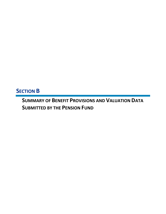# **SECTION B**

**SUMMARY OF BENEFIT PROVISIONS AND VALUATION DATA SUBMITTED BY THE PENSION FUND**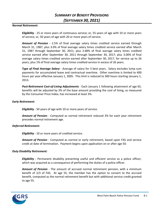#### *Normal Retirement:*

*Eligibility* - 25 or more years of continuous service; or, 55 years of age with 10 or more years of service; or, 50 years of age with 20 or more years of service.

*Amount of Pension -* 2.5% of final average salary times credited service earned through March 31, 1987; plus 3.0% of final average salary times credited service earned after March 31, 1987 through September 30, 2011; plus 2.68% of final average salary times credited service earned after September 30, 2011 through September 30, 2017; plus 3.00% of final average salary times credited service earned after September 30, 2017, for service up to 26 years; plus 1% of final average salary times credited service in excess of 26 years.

*Type of Final Average Salary* - Average of salary for 3 best years. Salary excludes lump sum payments for accumulated leave and contractual overtime. Other overtime is limited to 400 hours per year effective January 1, 2005. This limit is reduced to 300 hours starting January 1, 2013.

*Post-Retirement Cost-of-Living Adjustments* - Each January 1 following attainment of age 65, benefits will be adjusted by 3% of the base amount providing the cost of living, as measured by the Consumer Price Index, has increased at least 3%.

#### *Early Retirement:*

*Eligibility* - 50 years of age with 10 or more years of service.

*Amount of Pension* - Computed as normal retirement reduced 3% for each year retirement precedes normal retirement age.

#### *Deferred Retirement:*

*Eligibility* - 10 or more years of credited service.

*Amount of Pension* - Computed as normal or early retirement, based upon FAS and service credit at date of termination. Payment begins upon application on or after age 50.

#### *Duty Disability Retirement:*

*Eligibility -* Permanent disability preventing useful and efficient service as a police officer, which was acquired as a consequence of performing the duties of a police officer.

*Amount of Pension* - The amount of accrued normal retirement pension, with a minimum benefit of 2/3 of FAS. At age 55, the member has the option to convert to the accrued benefit, computed as the normal retirement benefit but with additional service credit granted to age 55.

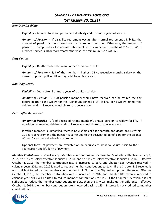#### *Non-Duty Disability:*

*Eligibility -* Requires total and permanent disability and 5 or more years of service.

*Amount of Pension -* If disability retirement occurs after normal retirement eligibility, the amount of pension is the accrued normal retirement pension. Otherwise, the amount of pension is computed as for normal retirement with a minimum benefit of 25% of FAS if credited service is 10 or more years; otherwise, the minimum is 20% of FAS.

#### *Duty Death:*

*Eligibility* - Death which is the result of performance of duty.

*Amount of Pension* – 2/3 of the member's highest 12 consecutive months salary or the current top step police officer pay, whichever is greater.

#### *Non-Duty Death:*

*Eligibility* - Death after 5 or more years of credited service.

*Amount of Pension* - 2/3 of pension member would have received had he retired the day before death, to the widow for life. Minimum benefit is 1/7 of FAS. If no widow, unmarried children under 18 receive equal shares of above amount.

#### *Death After Retirement*:

*Amount of Pension* - 2/3 of deceased retired member's annual pension to widow for life. If no widow, unmarried children under 18 receive equal shares of above amount.

If retired member is unmarried, there is no eligible child (or parent), and death occurs within 10 years of retirement, the pension is continued to the designated beneficiary for the balance of the 10 year period following retirement.

Optional forms of payment are available on an "equivalent actuarial value" basis to the 10 year certain and life form of payment.

*Member Contributions*: 7% of salary. Member contributions will increase to 9% of salary effective January 1, 2005, to 10% of salary effective January 1, 2006 and to 11% of salary effective January 1, 2007. Effective October 1, 2011, the member contribution rate is increased to 18%, and Chapter 185 revenue received in calendar years 2011 and 2012 is used to reduce member contributions to 11%. If the Chapter 185 revenue is not sufficient to reduce the member contributions to 11%, then the City makes up the difference. Effective October 1, 2013, the member contribution rate is increased to 20%, and Chapter 185 revenue received in calendar year 2013 will be used to reduce member contributions to 11%. If the Chapter 185 revenue is not sufficient to reduce the member contributions to 11%, then the City will make up the difference. Effective October 1, 2014, the member contribution rate is lowered back to 11%. Interest is not credited to member contributions.

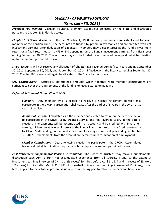### *SUMMARY OF BENEFIT PROVISIONS (SEPTEMBER 30, 2021)*

*Premium Tax Monies*: Casualty insurance premium tax monies collected by the State and distributed pursuant to Chapter 185, Florida Statutes*.*

*Chapter 185 Share Accounts*: Effective October 1, 1988, separate accounts were established for each member of the Pension Fund. The accounts are funded by premium tax monies and are credited with net investment earnings after deduction of expenses. Members may elect interest at the Fund's investment return or a fixed return equal to 4% or 8% depending on the Fund's investment earnings from fiscal year ending September 30, 2012. The accounts may also be funded by accumulated leave paid out at termination up to the amount permitted by law.

Share accounts will not receive any allocation of Chapter 185 revenue during fiscal years ending September 30, 2011, September 30, 2012, and September 30, 2014. Effective with the fiscal year ending September 30, 2015, Chapter 185 revenue will again be allocated to the Share Plan accounts.

*City Contributions*: Actuarially determined amounts which together with member contributions are sufficient to cover the requirements of the funding objective stated on page A-1.

#### *Deferred Retirement Option Plan (DROP):*

*Eligibility* - Any member who is eligible to receive a normal retirement pension may participate in the DROP. Participation shall cease after the earlier of 5 years in the DROP or 30 years of service.

*Amount of Pension -* Calculated as if the member had elected to retire on the date of election to participate in the DROP, using credited service and final average salary at the date of election. The payments will be accumulated in an account and be credited with investment earnings. Members may elect interest at the Fund's investment return or a fixed return equal to 4% or 8% depending on the Fund's investment earnings from fiscal year ending September 30, 2012. Disbursements from the account are deferred until termination of employment.

*Member Contributions -* Cease following election to participate in the DROP. Accumulated leave paid out at termination may be contributed up to the amount permitted by law.

*Post-Retirement Supplemental Pension Distribution:* The Board of Trustees may make a supplemental distribution each April 1 from net accumulated experience from all sources, if any, to the extent of investment earnings in excess of 7% (to a 2% excess) for hires before April 1, 1987 and in excess of 8% (to a 1% excess) for hires after March 31, 1987 plus one-half of investment earnings in excess of 9%, if any, for all hires, applied to the actuarial present value of pensions being paid to retired members and beneficiaries.

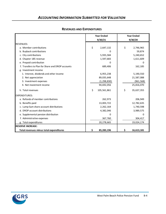### *ACCOUNTING INFORMATION SUBMITTED FOR VALUATION*

|                                                  | <b>Year Ended</b> |               |    | <b>Year Ended</b> |
|--------------------------------------------------|-------------------|---------------|----|-------------------|
|                                                  |                   | 9/30/21       |    | 9/30/20           |
| <b>REVENUES:</b>                                 |                   |               |    |                   |
| a. Member contributions                          | \$                | 2,647,132     | \$ | 2,746,965         |
| b. Buyback contributions                         |                   | O             |    | 59,874            |
| c. City contributions                            |                   | 5,935,584     |    | 5,240,652         |
| d. Chapter 185 revenue                           |                   | 1,597,683     |    | 1,611,609         |
| e. Prepaid contribution                          |                   | 0             |    | 0                 |
| f. Transfers to Plan for Share and DROP accounts |                   | 689,406       |    | 162,185           |
| g. Investment income                             |                   |               |    |                   |
| 1. Interest, dividends and other income          |                   | 6,955,238     |    | 5,190,550         |
| 2. Net appreciation                              |                   | 89,035,648    |    | 21,587,088        |
| 3. Investment expenses                           |                   | (1, 298, 830) |    | (961, 568)        |
| 4. Net investment income                         |                   | 94,692,056    |    | 25,816,070        |
| h. Total revenues                                | \$                | 105,561,861   | \$ | 35,637,355        |
| EXPENDITURES:                                    |                   |               |    |                   |
| a. Refunds of member contributions               |                   | 262,973       |    | 206,949           |
| b. Benefits paid                                 |                   | 13,003,722    |    | 12,782,635        |
| c. Lump-Sum share account distributions          |                   | 2,262,164     |    | 1,740,598         |
| d. DROP account distributions                    |                   | 4,382,046     |    | 3,989,575         |
| e. Supplemental pension distribution             |                   | 0             |    | 0                 |
| f. Administrative expenses                       |                   | 367,760       |    | 304,417           |
| g. Total expenditures                            |                   | 20,278,665    |    | 19,024,174        |
| <b>RESERVE INCREASE:</b>                         |                   |               |    |                   |
| Total revenues minus total expenditures          | \$                | 85,283,196    | \$ | 16,613,181        |

#### **REVENUES AND EXPENDITURES**

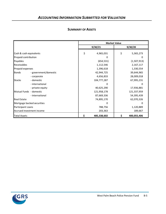|                            |                       | <b>Market Value</b> |    |             |  |
|----------------------------|-----------------------|---------------------|----|-------------|--|
|                            |                       | 9/30/21             |    | 9/30/20     |  |
| Cash & cash equivalents    |                       | \$<br>4,965,031     | \$ | 5,365,273   |  |
| Prepaid contribution       |                       | 0                   |    | O           |  |
| Payables                   |                       | (654, 531)          |    | (1,507,913) |  |
| <b>Receivables</b>         |                       | 1,112,546           |    | 2,167,117   |  |
| Prepaid expenses           |                       | 1,396,618           |    | 1,330,554   |  |
| Bonds                      | - government/domestic | 42,944,725          |    | 39,644,965  |  |
|                            | - corporate           | 4,656,833           |    | 28,009,018  |  |
| <b>Stocks</b>              | - domestic            | 104,777,287         |    | 67,995,231  |  |
|                            | - international       | O                   |    | n           |  |
|                            | - private equity      | 40,625,290          |    | 17,936,881  |  |
| Mutual Funds - domestic    |                       | 121,958,178         |    | 121,337,959 |  |
|                            | - international       | 87,669,336          |    | 54,395,439  |  |
| <b>Real Estate</b>         |                       | 74,895,170          |    | 62,070,326  |  |
| Mortgage backed securities |                       | O                   |    |             |  |
| Participant Loans          |                       | 788,756             |    | 1,120,889   |  |
| Accrued investment income  |                       | 203,363             |    | 189,667     |  |
| Total Assets               |                       | \$<br>485,338,602   | \$ | 400,055,406 |  |

#### **SUMMARY OF ASSETS**

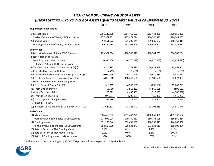### *DERIVATION OF FUNDING VALUE OF ASSETS*

### *(BEFORE SETTING FUNDING VALUE OF ASSETS EQUAL TO MARKET VALUE AS OF SEPTEMBER 30, 2021)*

|                                                             | 2018          | 2019           | 2020          | 2021          |
|-------------------------------------------------------------|---------------|----------------|---------------|---------------|
| <b>Beginning of Year Values</b>                             |               |                |               |               |
| (1) Market Value                                            | \$361,249,258 | \$384,460,632  | \$383,442,225 | \$400,055,406 |
| Market Value net of Share/DROP Accounts                     | 257,862,321   | 275,972,094    | 270,740,310   | 280,744,005   |
| (2) Funding Value                                           | 352,551,922   | 371,295,844    | 389,635,162   | 410,350,311   |
| Funding Value net of Share/DROP Accounts                    | 249,164,985   | 262,807,306    | 276,933,247   | 291,038,910   |
| <b>End of Year</b>                                          |               |                |               |               |
| (3) Market Value net of Share/DROP Accounts                 | 275,972,094   | 270,740,310    | 280,744,005   | 356,560,284   |
| (4) Net Addition to Assets                                  |               |                |               |               |
| Excluding Investment Income,                                | (6,994,524)   | (6,770,178)    | (6,920,263)   | (7,678,622)   |
| Chapter 185 and DROP Cash Flows                             |               |                |               |               |
| (5) Total Net Investment Income = $(3)-(1)-(4)$             | 25, 104, 297  | 1,538,394      | 16,923,958    | 83,494,901    |
| (6) Projected Net Rate of Return                            | 7.75%         | 7.625%         | 7.50%         | 7.25%         |
| (7) Projected Investment Income=(6) x [(2)+0.5 x (4)]       | 19,039,249    | 19,780,944     | 20,510,484    | 20,821,971    |
| (8) Investment Income in Excess of Projected                | 6,065,048     | (18, 242, 550) | (3,586,526)   | 62,672,930    |
| Excess Investment Income Recognized                         |               |                |               |               |
| (9a) From Current Year = .25 x (8)                          | 1,516,262     | (4,560,638)    | (896, 632)    | 15,668,233    |
| (9b) From One Year Prior                                    | 4,456,450     | 1,516,262      | (4,560,638)   | (896, 632)    |
| (9c) From Two Years Prior                                   | (296, 899)    | 4,456,450      | 1,516,262     | (4,560,638)   |
| (9d) From Three Years Prior                                 | (4,078,217)   | (296, 899)     | 4,456,450     | 1,516,262     |
| (9e) Total Cap. Val. Change Recogn.                         | 1,597,596     | 1,115,175      | 515,442       | 11,727,225    |
| $= (9a)+(9b)+(9c)+(9d)$                                     |               |                |               |               |
| (10) Increase (Decr.) in Funding Value = $(4) + (7) + (9e)$ | 13,642,321    | 14,125,941     | 14, 105, 663  | 24,870,574    |
| <b>End of Year</b>                                          |               |                |               |               |
| (11) Market Value                                           | \$384,460,632 | \$383,442,225  | \$400,055,406 | \$485,338,602 |
| Market Value net of Share/DROP Accounts                     | 275,972,094   | 270,740,310    | 280,744,005   | 356,560,284   |
| (12) Funding Value                                          | 371,295,844   | 389,635,162    | 410,350,311   | 444,687,802   |
| Funding Value net of Share/DROP Accounts                    | 262,807,306   | 276,933,247    | 291,038,910   | 315,909,484   |
| (13) Rate of Return on Net Funding Value                    | 8.4%          | 8.1%           | 7.7%          | 11.3%         |
| (14) Rate of Return on Net Market Value                     | 9.9%          | 0.6%           | 6.3%          | 30.2%         |
| (15) Ratio of Funding Value to Market Value                 | 97%           | 102%           | 103%          | 92%           |

\* Reflects actual deposit timing for \$50,000,000 proceeds from the pension obligation bond.

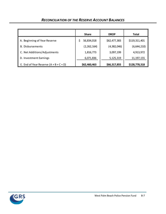|                                          | <b>Share</b>  | <b>DROP</b>  | <b>Total</b>  |
|------------------------------------------|---------------|--------------|---------------|
| A. Beginning of Year Reserve             | 56,834,018    | \$62,477,383 | \$119,311,401 |
| <b>B.</b> Disbursements                  | (2, 262, 164) | (4,382,046)  | (6,644,210)   |
| C. Net Additions/Adjustments             | 1,816,773     | 3,097,199    | 4,913,972     |
| D. Investment Earnings                   | 6,071,836     | 5,125,319    | 11, 197, 155  |
| E. End of Year Reserve $(A + B + C + D)$ | \$62,460,463  | \$66,317,855 | \$128,778,318 |

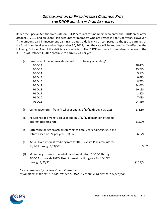### *DETERMINATION OF FIXED INTEREST CREDITING RATE FOR DROP AND SHARE PLAN ACCOUNTS*

Under the Special Act, the fixed rate on DROP accounts for members who enter the DROP on or after October 1, 2012 and on Share Plan accounts for members who are vested is 8.00% per year. However, if the amount paid in investment earnings creates a deficiency as compared to the gross earnings of the fund from fiscal year ending September 30, 2012, then the rate will be reduced to 4% effective the following October 1 until the deficiency is satisfied. The DROP accounts for members who are in the DROP as of October 1, 2012 continue to earn 8.25% per year.

(a) Gross rate of market investment return for fiscal year ending\*

|     | 9/30/12                                                                                                                                                 | 18.43%     |
|-----|---------------------------------------------------------------------------------------------------------------------------------------------------------|------------|
|     | 9/30/13                                                                                                                                                 | 13.74%     |
|     | 9/30/14                                                                                                                                                 | 9.53%      |
|     | 9/30/15                                                                                                                                                 | 0.69%      |
|     | 9/30/16                                                                                                                                                 | 8.77%      |
|     | 9/30/17                                                                                                                                                 | 14.01%     |
|     | 9/30/18                                                                                                                                                 | 10.19%     |
|     | 9/30/19                                                                                                                                                 | 2.40%      |
|     | 9/30/20                                                                                                                                                 | 7.03%      |
|     | 9/30/21                                                                                                                                                 | 24.33%     |
| (b) | Cumulative return from fiscal year ending 9/30/12 through 9/30/21                                                                                       | 176.6%     |
| (c) | Return needed from fiscal year ending 9/30/12 to maintain 8% fixed<br>interest crediting rate                                                           | 115.9%     |
| (d) | Difference between actual return since fiscal year ending 9/30/12 and<br>return based on 8% per year: (b) - (c)                                         | 60.7%      |
| (e) | Actual fixed interest crediting rate for DROP/Share Plan accounts for<br>10/1/21 through 9/30/22                                                        | 8.0% **    |
| (f) | Minimum gross rate of market investment return 10/1/21 through<br>9/30/22 to provide 8.00% fixed interest crediting rate for 10/1/22<br>through 9/30/23 | $(15.7)\%$ |
|     | * As determined by the Investment Consultant.                                                                                                           |            |

*\*\* Members in the DROP as of October 1, 2012 will continue to earn 8.25% per year.*

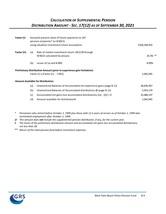### *CALCULATION OF SUPPLEMENTAL PENSION DISTRIBUTION AMOUNT - SEC. 17(12) AS OF SEPTEMBER 30, 2021*

| Factor (i):  | Actuarial present value of future payments to 167<br>pension recipients* on 9/30/21 |                                                                        |               |  |  |  |
|--------------|-------------------------------------------------------------------------------------|------------------------------------------------------------------------|---------------|--|--|--|
|              |                                                                                     | using valuation investment return assumption                           | \$104,294,453 |  |  |  |
| Factor (ii): | (a)                                                                                 | Rate of market investment return 10/1/20 through                       |               |  |  |  |
|              |                                                                                     | 9/30/21 calculated by actuary                                          | $24.3\%$ **   |  |  |  |
|              | (b)                                                                                 | Lesser of (a) and $8.00\%$                                             | 8.00%         |  |  |  |
|              |                                                                                     | Preliminary Distribution Amount (prior to experience gain limitation): |               |  |  |  |
|              |                                                                                     | Factor (i) x [Factor (ii) $-7.0\%$ ]                                   | 1,042,945     |  |  |  |
|              |                                                                                     | <b>Amount Available for Distribution:</b>                              |               |  |  |  |
|              | (a)                                                                                 | Unamortized Balances of Accumulated net experience gains (page B-11)   | 28,639,367    |  |  |  |
|              | (b)                                                                                 | Unamortized Balances of Accumulated distributions $\omega$ (page B-11) | 2,953,170     |  |  |  |
|              | (c)                                                                                 | Accumulated net gains less accumulated distributions $[(a) - (b)] < 0$ | 25,686,197    |  |  |  |
|              | (d)                                                                                 | Amount available for distribution#                                     | 1,042,945     |  |  |  |

- *\* Pensioners who retired before October 1, 1999 plus those with 12.5 years of service as of October 1, 1999 who terminated employment after October 1, 1999.*
- *@ This amount does not include the supplemental pension distribution, if any, for the current year.*
- *# The lesser of the preliminary distribution amount and accumulated net gains less accumulated distributions, not less than \$0.*
- \*\* *Return of the total pension fund before investment expenses.*

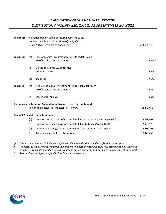### *CALCULATION OF SUPPLEMENTAL PENSION DISTRIBUTION AMOUNT - SEC. 17(12) AS OF SEPTEMBER 30, 2021*

| Factor (i):   | Actuarial present value of future payments to 281<br>pension recipients (all pensioners) on 9/30/21<br>using 7.0% interest set by Special Act |                                                                                       |            |  |  |
|---------------|-----------------------------------------------------------------------------------------------------------------------------------------------|---------------------------------------------------------------------------------------|------------|--|--|
| Factor (ii):  | (a)                                                                                                                                           | Rate of market investment return 10/1/20 through<br>9/30/21 calculated by actuary     | 24.3% *    |  |  |
|               | (b)                                                                                                                                           | Excess of (a) over 9%, if positive,<br>otherwise zero.                                | 15.3%      |  |  |
|               | (c)                                                                                                                                           | $1/2$ of (b)                                                                          | 7.65%      |  |  |
| Factor (iii): | (a)                                                                                                                                           | Net rate of market investment return 10/1/20 through<br>9/30/21 calculated by actuary | 24.3%      |  |  |
|               | (b)                                                                                                                                           | Lesser of (a) and 9%                                                                  | 9.0%       |  |  |
|               |                                                                                                                                               | Preliminary Distribution Amount (prior to experience gain limitation):                |            |  |  |
|               |                                                                                                                                               | Factor (i) x [Factor (ii) + ((Factor (iii) - 8.00%)]                                  | 18,473,455 |  |  |
|               |                                                                                                                                               | <b>Amount Available for Distribution:</b>                                             |            |  |  |
|               | (a)                                                                                                                                           | Unamortized Balances of Accumulated net experience gains (page B-11)                  | 28,639,367 |  |  |
|               | (b)                                                                                                                                           | Unamortized Balances of Accumulated distributions @ (page B-11)                       | 2,953,170  |  |  |
|               | (c)                                                                                                                                           | Accumulated net gains less accumulated distributions [(a) - (b)] < 0                  | 25,686,197 |  |  |
|               | (d)                                                                                                                                           | Amount available for distribution#                                                    | 18,473,455 |  |  |

*@ This amount does not include the supplemental pension distribution, if any, for the current year.* 

*# The lesser of the preliminary distribution amount and accumulated net gains less accumulated distributions, including any supplemental pension distributions for the current year determined on page B-6 of this report.*

*\* Return of the total pension fund before investment expenses.*

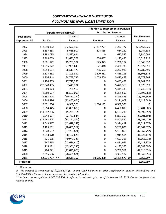| <b>SUPPLEMENTAL PENSION DISTRIBUTION</b>  |
|-------------------------------------------|
| <b>ACCUMULATED GAIN (LOSS) LIMITATION</b> |

|                   |                  | <b>Experience Gain/(Loss)*</b> | <b>Distribution Reserve</b> |                |                     |
|-------------------|------------------|--------------------------------|-----------------------------|----------------|---------------------|
| <b>Year Ended</b> |                  | Unamort.                       |                             | Unamort.       | <b>Net Unamort.</b> |
| September 30      | <b>For Year</b>  | <b>Balance</b>                 | <b>For Year</b>             | <b>Balance</b> | <b>Balance</b>      |
| 1992              | \$2,690,102      | \$2,690,102                    | \$237,777                   | \$237,777      | \$2,452,325         |
| 1993              | 2,897,258        | 5,658,917                      | 374,365                     | 614,282        | 5,044,635           |
| 1994              | (2, 192, 085)    | 3,597,634                      | 0                           | 617,542        | 2,980,092           |
| 1995              | 7,969,009        | 11,641,571                     | 508,437                     | 1,127,456      | 10,514,115          |
| 1996              | 3,801,172        | 15,703,104                     | 625,973                     | 1,756,172      | 13,946,932          |
| 1997              | 11,915,022       | 27,958,649                     | 671,448                     | 2,430,738      | 25,527,911          |
| 1998              | (2,054,604)      | 26,513,470                     | 795,633                     | 3,227,980      | 23,285,490          |
| 1999              | 1,317,262        | 27,209,332                     | 1,210,681                   | 4,453,115      | 23,303,374          |
| 2000              | 1,306,848        | 28,753,737                     | 1,005,600                   | 5,475,473      | 23, 278, 264        |
| 2001              | (1, 194, 305)    | 27,729,286                     | 0                           | 5,487,451      | 22, 241, 835        |
| 2002              | (20, 340, 405)   | 7,449,284                      | 0                           | 5,478,365      | 1,970,919           |
| 2003              | (6,969,923)      | 204,562                        | 0                           | 5,445,433      | (5, 240, 871)       |
| 2004              | (8, 289, 567)    | (8,507,096)                    | 0                           | 5,385,592      | (13,892,688)        |
| 2005              | (1, 393, 874)    | (10, 472, 274)                 | 0                           | 5,295,375      | (15, 767, 649)      |
| 2006              | (1,344,886)      | (12, 442, 674)                 | 0                           | 5,171,008      | (17,613,682)        |
| 2007              | 18,831,566       | 6,588,529                      | 1,580,142                   | 6,588,529      | 0                   |
| 2008              | (8,914,445)      | (2,080,609)                    | 0                           | 6,400,898      | (8,481,507)         |
| 2009              | (11, 642, 886)   | (15, 238, 314)                 | 0                           | 6,161,238      | (21, 399, 552)      |
| 2010              | (6,544,967)      | (22, 737, 844)                 | 0                           | 5,863,350      | (28, 601, 194)      |
| 2011              | (14, 463, 674)   | (38, 291, 884)                 | 0                           | 5,500,590      | (43, 792, 474)      |
| 2012              | (3,649,317)      | (42, 618, 248)                 | 0                           | 5,394,429      | (48, 012, 677)      |
| 2013              | 3,185,651        | (40,099,567)                   | 0                           | 5,262,805      | (45, 362, 372)      |
| 2014              | 3,620,537        | (37, 263, 884)                 | 0                           | 5,103,868      | (42, 367, 752)      |
| 2015              | 2,093,970        | (36, 107, 628)                 | 0                           | 4,914,514      | (41,022,142)        |
| 2016              | (621, 595)       | (40, 971, 323)                 | 0                           | 4,691,395      | (45, 662, 718)      |
| 2017              | (567, 465)       | (42, 686, 410)                 | 0                           | 4,431,961      | (47, 118, 371)      |
| 2018              | (118, 171)       | (43, 951, 336)                 | 0                           | 4,132,360      | (48,083,696)        |
| 2019              | (784, 721)       | (41,021,670)                   | 0                           | 3,788,961      | (44, 810, 631)      |
| 2020              | 8,355,556        | (28, 451, 874)                 | 0                           | 3,397,182      | (31, 849, 056)      |
| 2021              | **<br>52,971,707 | 28,639,367                     | 19,516,400                  | 22,469,570 @   | 6,169,797           |
| Projected         |                  |                                |                             |                | 6,169,797           |

*\* All sources.*

*@ This amount is composed of \$2,953,170 for unamortized balances of prior supplemental pension distributions and \$19,516,400 for the current year supplemental pension distribution.* 

*\*\* Includes the recognition of \$40,650,800 of deferred investment gains as of September 30, 2021 due to the fresh start method change.*

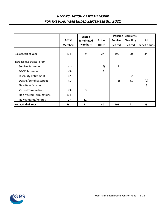### *RECONCILIATION OF MEMBERSHIP FOR THE PLAN YEAR ENDED SEPTEMBER 30, 2021*

|                              |                | <b>Vested</b>     | <b>Pension Recipients</b> |                |                   |                      |  |
|------------------------------|----------------|-------------------|---------------------------|----------------|-------------------|----------------------|--|
|                              | <b>Active</b>  | <b>Terminated</b> | <b>Active</b>             | <b>Service</b> | <b>Disability</b> | All                  |  |
|                              | <b>Members</b> | <b>Members</b>    | <b>DROP</b>               | <b>Retired</b> | <b>Retired</b>    | <b>Beneficiaries</b> |  |
| <b>No.</b> at Start of Year  | 264            | 9                 | 27                        | 190            | 20                | 34                   |  |
| Increase (Decrease) From     |                |                   |                           |                |                   |                      |  |
| Service Retirement           | (1)            |                   | (6)                       | 7              |                   |                      |  |
| <b>DROP Retirement</b>       | (9)            |                   | 9                         |                |                   |                      |  |
| <b>Disability Retirement</b> | (2)            |                   |                           |                | 2                 |                      |  |
| Deaths/Benefit Stopped       | (1)            |                   |                           | (2)            | (1)               | (2)                  |  |
| <b>New Beneficiaries</b>     |                |                   |                           |                |                   | 3                    |  |
| <b>Vested Terminations</b>   | (3)            | 3                 |                           |                |                   |                      |  |
| Non-Vested Terminations      | (14)           |                   |                           |                |                   |                      |  |
| New Entrants/Rehires         | 27             | (1)               |                           |                |                   |                      |  |
| No. at End of Year           | 261            | 11                | 30                        | 195            | 21                | 35                   |  |

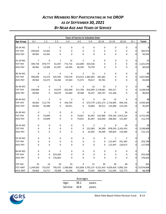### *ACTIVE MEMBERS NOT PARTICIPATING IN THE DROP AS OF SEPTEMBER 30, 2021 BY NEAR AGE AND YEARS OF SERVICE*

| <b>Years of Service to Valuation Date</b> |                |                |                |                   |                |                   |                   |                             |                                                 |                |                   |
|-------------------------------------------|----------------|----------------|----------------|-------------------|----------------|-------------------|-------------------|-----------------------------|-------------------------------------------------|----------------|-------------------|
| Age Group                                 | $0 - 1$        | $1 - 2$        | $2 - 3$        | $3 - 4$           | $4 - 5$        | $5 - 9$           | $10 - 14$         | $15 - 19$                   | $20 - 24$                                       | $25 +$         | <b>Totals</b>     |
|                                           |                |                |                |                   |                |                   |                   |                             |                                                 |                |                   |
| 20-24 NO.                                 | 5              | $\mathbf{1}$   | 0              | 0                 | 0              | 0                 | 0                 | 0                           | 0                                               | 0              |                   |
| <b>TOT PAY</b>                            | 249,810        | 52,262         | 0              | 0                 | 0              | 0                 | 0                 | 0                           | 0                                               | 0              | 302,072           |
| <b>AVG PAY</b>                            | 49,962         | 52,262         | 0              | 0                 | 0              | $\mathbf 0$       | 0                 | 0                           | 0                                               | 0              | 50,345            |
|                                           |                |                |                |                   |                |                   |                   |                             |                                                 |                |                   |
| 25-29 NO.                                 | $\overline{7}$ | 9              | $\mathbf{1}$   | 12                | $\overline{2}$ | 6                 | 0                 | 0                           | 0                                               | 0              | 37                |
| <b>TOT PAY</b>                            | 349,734        | 479,777        | 61,597         | 772,716           | 132,690        | 424,556           | 0                 | 0                           | 0                                               | 0              | 2,221,070         |
| <b>AVG PAY</b>                            | 49,962         | 53,309         | 61,597         | 64,393            | 66,345         | 70,759            | 0                 | 0                           | 0                                               | $\Omega$       | 60,029            |
| 30-34 NO.                                 | 8              | 1              | 6              | 4                 | 3              | 21                | 3                 | 0                           | 0                                               | 0              | 46                |
| <b>TOT PAY</b>                            | 399,696        | 53,373         | 325,595        | 270,570           |                | 214,413 1,482,963 | 281,282           | 0                           | 0                                               | 0              | 3,027,892         |
| <b>AVG PAY</b>                            | 49,962         | 53,373         | 54,266         | 67,643            | 71,471         | 70,617            | 93,761            | 0                           | 0                                               | $\Omega$       | 65,824            |
|                                           |                |                |                |                   |                |                   |                   |                             |                                                 |                |                   |
| 35-39 NO.                                 | 4              | 0              | $\mathbf{1}$   | 4                 | 3              | 12                | 21                | 3                           | 0                                               | 0              | 48                |
| <b>TOT PAY</b>                            | 199,848        | 0              | 54,679         | 262,640           | 211,704        |                   | 916,049 2,178,681 | 345,317                     | 0                                               | 0              | 4,168,918         |
| <b>AVG PAY</b>                            | 49,962         | 0              | 54,679         | 65,660            | 70,568         | 76,337            | 103,747           | 115,106                     | 0                                               | 0              | 86,852            |
| 40-44 NO.                                 | $\mathbf{1}$   | $\overline{2}$ | 0              | 3                 | 0              | 9                 | 14                | 15                          | 4                                               | 0              | 48                |
| <b>TOT PAY</b>                            | 49,962         | 112,776        | 0              | 194,734           | 0              |                   |                   | 673,779 1,351,173 1,716,905 | 494,136                                         | 0              | 4,593,465         |
| <b>AVG PAY</b>                            | 49,962         | 56,388         | 0              | 64,911            | 0              | 74,864            | 96,512            | 114,460                     | 123,534                                         | $\overline{0}$ | 95,697            |
|                                           |                |                |                |                   |                |                   |                   |                             |                                                 |                |                   |
| 45-49 NO.                                 | 0              | 1              | 0              | 0                 | $\mathbf{1}$   | $\mathbf{1}$      | 6                 | 9                           | 24                                              | $\Omega$       | 42                |
| <b>TOT PAY</b>                            | 0              | 53,849         | 0              | 0                 | 73,051         | 81,407            | 615,900           |                             | 976,164 2,915,214                               | 0              | 4,715,585         |
| <b>AVG PAY</b>                            | 0              | 53,849         | 0              | 0                 | 73,051         | 81,407            | 102,650           | 108,463                     | 121,467                                         | οI             | 112,276           |
|                                           |                |                |                |                   |                |                   |                   |                             |                                                 |                |                   |
| 50-54 NO.                                 | 0              | 0              | 0              | 0                 | 0              | $\overline{2}$    | $\mathbf{1}$      | 8                           | 18                                              | $\Omega$       | 29                |
| <b>TOT PAY</b>                            | 0              | 0              | 0              | 0                 | 0              | 123,383           | 94,399            |                             | 878,593 2,242,433                               | 0              | 3,338,808         |
| <b>AVG PAY</b>                            | 0              | 0              | 0              | 0                 | 0              | 61,692            | 94,399            | 109,824                     | 124,580                                         | $\overline{0}$ | 115,131           |
| 55-59 NO.                                 | 0              | 0              | 0              | 0                 | 0              | 0                 | 0                 | $\mathbf{1}$                | $\overline{2}$                                  | 0              |                   |
| <b>TOT PAY</b>                            | 0              | 0              | 0              | 0                 | 0              | 0                 | 0                 | 112,447                     | 241,343                                         | 0              | 353,790           |
| <b>AVG PAY</b>                            | 0              | 0              | 0              | 0                 | 0              | 0                 | $\mathbf 0$       | 112,447                     | 120,672                                         | $\overline{0}$ | 117,930           |
|                                           |                |                |                |                   |                |                   |                   |                             |                                                 |                |                   |
| 60-64 NO.                                 | 0              | 0              | $\overline{2}$ | 0                 | 0              | 0                 | 0                 | 0                           | 0                                               | $\Omega$       |                   |
| <b>TOT PAY</b>                            | $\mathbf 0$    | 0              | 353,204        | 0                 | 0              | 0                 | 0                 | 0                           | 0                                               | 0              | 353,204           |
| <b>AVG PAY</b>                            | 0              | 0              | 176,602        | 0                 | 0              | 0                 | 0                 | 0                           | 0                                               | $\overline{0}$ | 176,602           |
| TOT NO.                                   | 25             | 14             | $10\,$         | 23                | 9              | 51                | 45                | 36                          | 48                                              | 0              |                   |
|                                           | 1,249,050      | 752,037        |                | 795,075 1,500,660 |                |                   |                   |                             | 631,858 3,702,137 4,521,435 4,029,426 5,893,126 |                | 261<br>23,074,804 |
| <b>TOT AMT</b>                            |                |                |                |                   |                |                   |                   |                             |                                                 | 0              |                   |
| <b>AVG AMT</b>                            | 49,962         | 53,717         | 79,508         | 65,246            | 70,206         | 72,591            | 100,476           | 111,929                     | 122,773                                         | 0              | 88,409            |

|          | Averages |        |
|----------|----------|--------|
| Age:     | 39.1     | years. |
| Service: | 10.8     | years. |

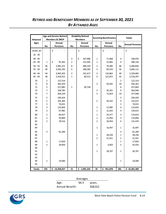### *RETIRED AND BENEFICIARY MEMBERS AS OF SEPTEMBER 30, 2021 BY ATTAINED AGES*

| <b>Age and Service Retired</b> |                |                                     | <b>Disability Retired</b> |                           | <b>Surviving Beneficiaries</b> | <b>Totals</b>             |             |                        |
|--------------------------------|----------------|-------------------------------------|---------------------------|---------------------------|--------------------------------|---------------------------|-------------|------------------------|
| <b>Attained</b>                |                | <b>Members &amp; DROP</b><br>Annual |                           | <b>Members</b>            |                                |                           |             |                        |
| Ages                           | No.            | <b>Pensions</b>                     | No.                       | Annual<br><b>Pensions</b> | No.                            | Annual<br><b>Pensions</b> | No.         | <b>Annual Pensions</b> |
|                                |                |                                     |                           |                           |                                |                           |             |                        |
| Under 20                       |                | \$                                  |                           | \$                        |                                | \$                        |             | \$                     |
| $35 - 39$                      |                |                                     |                           |                           |                                |                           |             |                        |
| $40 - 44$                      |                |                                     | 3                         | \$<br>187,908             | 1                              | 71,068                    | 4           | 258,976                |
| 45 - 49                        | $\mathbf 1$    | \$<br>95,365                        | 2                         | 152,926                   | 1                              | 31,865                    | 4           | 280,156                |
| $50 - 54$                      | 36             | 2,981,231                           | 8                         | 389,220                   | 2                              | 70,385                    | 46          | 3,440,836              |
| $55 - 59$                      | 49             | 3,392,295                           | 4                         | 188,283                   | 3                              | 83,533                    | 56          | 3,664,111              |
| $60 - 64$                      | 44             | 3,093,203                           | $\mathbf 2$               | 101,617                   | 3                              | 134,862                   | 49          | 3,329,682              |
| $65 - 69$                      | 38             | 2,354,912                           | $\mathbf{1}$              | 40,513                    | 4                              | 122,872                   | 43          | 2,518,297              |
| 70                             | $\overline{2}$ | 122,314                             |                           |                           |                                |                           | 2           | 122,314                |
| $71\,$                         | 8              | 305,919                             |                           |                           | 2                              | 50,442                    | 10          | 356,361                |
| 72                             | 5              | 227,085                             | $\mathbf{1}$              | 30,758                    |                                |                           | 6           | 257,843                |
| 73                             | $\overline{7}$ | 328,785                             |                           |                           | 2                              | 36,261                    | 9           | 365,046                |
| 74                             | 7              | 304,229                             |                           |                           | 3                              | 72,819                    | 10          | 377,048                |
| 75                             | 5              | 249,424                             |                           |                           |                                |                           | 5           | 249,424                |
| 76                             | $\mathbf 2$    | 105,305                             |                           |                           | 2                              | 50,332                    | 4           | 155,637                |
| 77                             | $\mathbf 2$    | 74,631                              |                           |                           |                                |                           | 2           | 74,631                 |
| 78                             | 3              | 110,850                             |                           |                           | 1                              | 12,985                    | 4           | 123,835                |
| 79                             | 3              | 97,982                              |                           |                           | $\mathbf 1$                    | 31,633                    | 4           | 129,615                |
| 80                             | $\overline{2}$ | 84,437                              |                           |                           | 1                              | 26,377                    | 3           | 110,814                |
| 81                             | $\mathbf 2$    | 93,800                              |                           |                           | $\mathbf 1$                    | 21,056                    | 3           | 114,856                |
| 82<br>83                       | $\overline{2}$ | 78,516                              |                           |                           | 2                              | 36,954                    | 4           | 115,470                |
| 84                             |                |                                     |                           |                           | 1                              | 16,447                    | 1           | 16,447                 |
| 85                             | 3              |                                     |                           |                           |                                |                           | 3           | 81,284                 |
| 86                             |                | 81,284                              |                           |                           | 1                              | 28,256                    | 1           | 28,256                 |
| 87                             |                |                                     |                           |                           | $\overline{2}$                 | 21,421                    | $\mathbf 2$ | 21,421                 |
| 88                             | $\mathbf 1$    | 17,820                              |                           |                           |                                |                           | $\mathbf 1$ | 17,820                 |
| 89                             | $\overline{2}$ | 39,830                              |                           |                           | 1                              | 3,603                     | 3           | 43,433                 |
| 90                             |                |                                     |                           |                           |                                |                           |             |                        |
| 91                             |                |                                     |                           |                           | 1                              | 28,707                    | 1           | 28,707                 |
| 92                             |                |                                     |                           |                           |                                |                           |             |                        |
| 93                             |                |                                     |                           |                           |                                |                           |             |                        |
| 94                             | $\mathbf{1}$   | 19,040                              |                           |                           |                                |                           | 1           | 19,040                 |
| 95                             |                |                                     |                           |                           |                                |                           |             |                        |
| <b>Totals</b>                  | 225            | \$<br>14,258,257                    | 21                        | \$<br>1,091,225           | 35                             | \$.<br>951,878            | 281         | \$16,301,360           |

|                 | Averages |          |
|-----------------|----------|----------|
| Age:            | 64.3     | years.   |
| Annual Benefit: |          | \$58,012 |

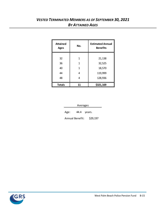### *VESTED TERMINATED MEMBERS AS OF SEPTEMBER 30, 2021 BY ATTAINED AGES*

| <b>Attained</b><br><b>Ages</b> | No. | <b>Estimated Annual</b><br><b>Benefits</b> |  |  |
|--------------------------------|-----|--------------------------------------------|--|--|
| 32                             | 1   | 21,138                                     |  |  |
|                                |     |                                            |  |  |
| 36                             | 1   | 32,525                                     |  |  |
| 40                             | 1   | 18,570                                     |  |  |
| 44                             | 4   | 119,999                                    |  |  |
| 48                             | 4   | 128,936                                    |  |  |
| <b>Totals</b>                  | 11  | \$321,169                                  |  |  |

| Averages                    |             |  |  |  |  |  |  |
|-----------------------------|-------------|--|--|--|--|--|--|
| Age:                        | 44.4 years. |  |  |  |  |  |  |
| \$29,197<br>Annual Benefit: |             |  |  |  |  |  |  |

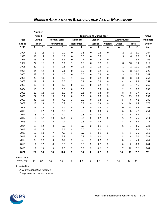|               |              | <b>Number</b><br>Added | <b>Terminations During Year</b> |      |                |                   |                |                |               | <b>Active</b>             |                  |              |                |
|---------------|--------------|------------------------|---------------------------------|------|----------------|-------------------|----------------|----------------|---------------|---------------------------|------------------|--------------|----------------|
| Year          |              | <b>During</b>          | Normal/Early                    |      |                | <b>Disability</b> |                | Died-in        |               | Withdrawals               |                  |              | <b>Members</b> |
| <b>Ended</b>  |              | Year                   | Retirement                      |      |                | Retirement        |                | <b>Service</b> | <b>Vested</b> | Other                     |                  | <b>Total</b> | End of         |
| 9/30          | $\mathbf{A}$ | E                      | $\pmb{\mathsf{A}}$              | E    | A              | E                 | A              | Е              | A             | $\boldsymbol{\mathsf{A}}$ | A                | Е            | Year           |
| 1994          | 3            | 11                     | 9                               | 1.1  | 0              | 0.8               | 0              | 0.3            | 0             | 2                         | $\mathbf 2$      | 5.9          | 207            |
| 1995          | 18           | 14                     | 8                               | 1.2  | 0              | 0.7               | 0              | 0.2            | 1             | 5                         | 6                | 5.3          | 211            |
| 1996          | 13           | 18                     | $11\,$                          | 3.3  | 0              | 0.6               | 0              | 0.2            | 0             | 7                         | $\boldsymbol{7}$ | 6.1          | 206            |
| 1997          | 22           | 16                     | 3                               | 1.0  | 3              | 0.7               | 0              | 0.2            | 2             | 8                         | 10               | 6.1          | 212            |
| 1998          | 20           | 9                      | 5                               | 2.5  | 0              | 0.6               | $\overline{2}$ | 0.2            | $\mathbf{1}$  | 1                         | $\overline{2}$   | $10.0\,$     | 223            |
| 1999          | 14           | 12                     | 4                               | 2.6  | 0              | 0.7               | 0              | 0.2            | 2             | 6                         | 8                | 10.7         | 225            |
| 2000          | 28           | 6                      | 3                               | 1.7  | 0              | 0.7               | 0              | 0.2            | 0             | 3                         | 3                | 6.9          | 247            |
| 2001          | 20           | 13                     | 4                               | 1.3  | $\mathbf 1$    | 0.7               | 0              | 0.2            | 0             | 8                         | 8                | 8.4          | 254            |
| 2002          | 11           | 14                     | 8                               | 2.7  | $\overline{2}$ | 0.8               | 0              | 0.2            | 0             | 4                         | 4                | 8.3          | 251            |
| 2003          | 12           | 8                      | 4                               | 1.3  | 0              | 0.8               | 0              | 0.2            | 1             | 3                         | 4                | 7.6          | 255            |
| 2004          | 16           | 12                     | 9                               | 5.6  | 0              | 0.8               | $\mathbf{1}$   | 0.3            | 0             | $\overline{2}$            | $\overline{2}$   | 7.0          | 259            |
| 2005          | 15           | 18                     | 10                              | 8.3  | 0              | 0.8               | 0              | 0.3            | 0             | 8                         | 8                | 6.7          | 256            |
| 2006          | 24           | 28                     | 13                              | 6.2  | 0              | 0.8               | 0              | 0.3            | 0             | 15                        | 15               | 6.5          | 252            |
| 2007          | 38           | 10                     | 3                               | 4.3  | $\mathbf 1$    | 0.9               | 0              | 0.3            | $\mathbf 1$   | 5                         | 6                | $7.1\,$      | 280            |
| 2008          | 18           | 23                     | 7                               | 5.9  | $\overline{2}$ | 0.8               | 0              | 0.3            | 0             | 14                        | 14               | 9.4          | 275            |
| 2009          | 11           | 23                     | 8                               | 6.1  | 0              | 0.8               | $\Omega$       | 0.3            | 5             | $10\,$                    | 15               | 8.4          | 263            |
| 2010          | 13           | 22                     | 13                              | 6.0  | 1              | 0.8               | 0              | 0.3            | 2             | 6                         | 8                | 6.7          | 254            |
| 2011          | 8            | 13                     | $\overline{7}$                  | 4.7  | 1              | 0.8               | 0              | 0.3            | 1             | 4                         | 5                | 6.3          | 249            |
| 2012          | $\mathbf 2$  | 37                     | 30                              | 12.1 | $\overline{2}$ | 0.6               | 0              | 0.2            | 0             | 5                         | 5                | 5.5          | 214            |
| 2013          | 12           | 11                     | 4                               | 2.4  | $\overline{2}$ | 0.6               | 0              | 0.2            | 2             | 3                         | 5                | 4.3          | 215            |
| 2014          | 18           | 12                     | 4                               | 3.2  | $\mathbf 1$    | 0.6               | 0              | 0.1            | $\mathbf 1$   | 6                         | 7                | 4.5          | 221            |
| 2015          | 24           | $\overline{4}$         | $\mathbf 1$                     | 2.5  | 0              | 0.7               | $\mathbf{1}$   | 0.1            | $\mathbf 1$   | $\mathbf{1}$              | $\mathbf 2$      | 5.3          | 241            |
| 2016          | 19           | 10                     | 7                               | 4.2  | 1              | 0.7               | $\mathbf{1}$   | 0.1            | 0             | 1                         | $\mathbf{1}$     | 6.6          | 250            |
| 2017          | 12           | 9                      | 4                               | 2.9  | $\mathbf{1}$   | 0.8               | 0              | 0.2            | $\mathbf 1$   | 3                         | 4                | 7.0          | 253            |
| 2018          | 28           | 12                     | 3                               | 4.1  | $\mathbf 1$    | 0.9               | $\mathbf{1}$   | 0.2            | $\mathbf 1$   | 6                         | 7                | 6.9          | 269            |
| 2019          | 12           | 17                     | 8                               | 8.3  | 3              | 0.8               | 0              | 0.2            | 0             | 6                         | 6                | 8.0          | 264            |
| 2020          | 19           | 19                     | 9                               | 9.3  | 0              | 0.8               | 0              | 0.2            | 3             | 7                         | 10               | 7.2          | 264            |
| 2021          | 27           | 30                     | 10                              | 11.7 | 2              | 0.7               | $\mathbf{1}$   | 0.2            | 3             | 14                        | 17               | 7.2          | 261            |
| 5-Year Totals |              |                        |                                 |      |                |                   |                |                |               |                           |                  |              |                |
| 2017 - 2021   | 98           | 87                     | 34                              | 36   | 7              | 4.0               | $\overline{2}$ | 1.0            | 8             | 36                        | 44               | 36           |                |

Expected for

 *A represents actual number.*

*E represents expected number.*

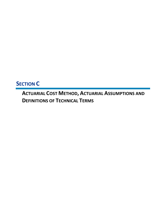**SECTION C**

**ACTUARIAL COST METHOD, ACTUARIAL ASSUMPTIONS AND DEFINITIONS OF TECHNICAL TERMS**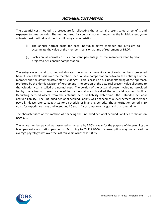The actuarial cost method is a procedure for allocating the actuarial present value of benefits and expenses to time periods. The method used for your valuation is known as the individual entry-age actuarial cost method, and has the following characteristics:

- (i) The annual normal costs for each individual active member are sufficient to accumulate the value of the member's pension at time of retirement or DROP.
- (ii) Each annual normal cost is a constant percentage of the member's year by year projected pensionable compensation.

The entry-age actuarial cost method allocates the actuarial present value of each member's projected benefits on a level basis over the member's pensionable compensation between the entry age of the member and the assumed active status exit ages. This is based on our understanding of the approach preferred by the Florida Division of Retirement. The portion of the actuarial present value allocated to the valuation year is called the normal cost. The portion of the actuarial present value not provided for by the actuarial present value of future normal costs is called the actuarial accrued liability. Deducting accrued assets from the actuarial accrued liability determines the unfunded actuarial accrued liability. The unfunded actuarial accrued liability was financed as a level percent of member payroll. Please refer to page A-11 for a schedule of financing periods. The amortization period is 20 years for experience gains and losses and 30 years for assumption changes and plan amendments.

The characteristics of this method of financing the unfunded actuarial accrued liability are shown on page C-2.

The active member payroll was assumed to increase by 2.50% a year for the purpose of determining the level percent amortization payments. According to FS 112.64(5) this assumption may not exceed the average payroll growth over the last ten years which was 1.89%.

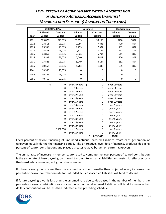### *LEVEL PERCENT OF ACTIVE MEMBER PAYROLL AMORTIZATION OF UNFUNDED ACTUARIAL ACCRUED LIABILITIES\* (AMORTIZATION SCHEDULE \$ AMOUNTS IN THOUSANDS)*

|      |                 | <b>UnDROPed Pay</b> | <b>Unfunded</b>     |                 | Contribution    |                |
|------|-----------------|---------------------|---------------------|-----------------|-----------------|----------------|
|      | <b>Inflated</b> | Constant            | <b>Inflated</b>     | Constant        | <b>Inflated</b> | Constant       |
| Year | <b>Dollars</b>  | <b>Dollars</b>      | <b>Dollars</b>      | <b>Dollars</b>  | <b>Dollars</b>  | <b>Dollars</b> |
| 2021 | \$23,075        | \$23,075            | \$8,153             | \$8,153         | \$706           | \$807          |
| 2022 | 23,511          | 23,075              | 7,986               | 7,838           | 720             | 807            |
| 2023 | 23,955          | 23,075              | 7,793               | 7,507           | 733             | 807            |
| 2024 | 24,408          | 23,075              | 7,573               | 7,159           | 747             | 807            |
| 2025 | 24,869          | 23,075              | 7,323               | 6,794           | 761             | 807            |
| 2026 | 25,339          | 23,075              | 7,040               | 6,411           | 776             | 807            |
| 2031 | 27,826          | 23,075              | 5,049               | 4,187           | 852             | 807            |
| 2036 | 30,557          | 23,075              | 1,782               | 1,346           | 935             | 807            |
| 2041 | 33,556          | 23,075              | 0                   | $\mathbf{0}$    | $\Omega$        | 0              |
| 2046 | 36,849          | 23,075              | 0                   | $\mathbf 0$     | 0               | 0              |
| 2051 | 40,465          | 23,075              | 0                   | 0               | 0               | 0              |
|      | $*$ \$          | 0                   | \$<br>over 30 years | $\pmb{0}$       | over 15 years   |                |
|      |                 | 0                   | over 29 years       | 0               | over 14 years   |                |
|      |                 | 0                   | over 28 years       | 0               | over 13 years   |                |
|      |                 | 0                   | over 27 years       | 0               | over 12 years   |                |
|      |                 | 0                   | over 26 years       | 0               | over 11 years   |                |
|      |                 | 0                   | over 25 years       | 0               | over 10 years   |                |
|      |                 | 0                   | over 24 years       | 0               | over 9 years    |                |
|      |                 | 0                   | over 23 years       | 0               | over 8 years    |                |
|      |                 | 0                   | over 22 years       | 0               | over 7 years    |                |
|      |                 | 0                   | over 21 years       | 0               | over 6 years    |                |
|      |                 | 0                   | over 20 years       | 0               | over 5 years    |                |
|      |                 | 0                   | over 19 years       | 0               | over 4 years    |                |
|      |                 | 0                   | over 18 years       | 0               | over 3 years    |                |
|      |                 | 8,152,630           | over 17 years       | 0               | over 2 years    |                |
|      |                 | 0                   | over 16 years       | 0               | over 1 years    |                |
|      |                 |                     |                     | \$<br>8,152,630 | <b>TOTAL</b>    |                |

Level percent-of-payroll financing of unfunded actuarial accrued liabilities treats each generation of taxpayers equally during the financing period. The alternative, level-dollar financing, produces declining percent-of-payroll contributions and places a greater relative burden on current taxpayers.

The annual rate of increase in member payroll used to compute the level percent-of-payroll contribution is the same rate of base payroll growth used to compute actuarial liabilities and costs. It reflects acrossthe-board salary increases, not group size increases.

If future payroll growth is less than the assumed rate due to smaller than projected salary increases, the percent-of-payroll contribution rate for unfunded actuarial accrued liabilities will tend to decline.

If future payroll growth is less than the assumed rate due to decreases in the number of members, the percent-of-payroll contribution rate for unfunded actuarial accrued liabilities will tend to increase but dollar contributions will be less than indicated in the preceding schedule.

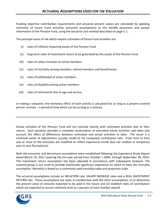Funding objective contribution requirements and actuarial present values are calculated by applying estimates of future Fund activities (actuarial assumptions) to the benefit provisions and people information of the Pension Fund, using the actuarial cost method described on page C-1.

The principal areas of risk which require estimates of future Fund activities are:

- (i) rates of inflation impacting assets of the Pension Fund
- (ii) long-term rates of investment return to be generated by the assets of the Pension Fund
- (iii) rates of salary increases to active members
- (iv) rates of mortality among members, retired members and beneficiaries
- (v) rates of withdrawal of active members
- (vi) rates of disability among active members
- (vii) rates of retirements due to age and service

In making a valuation, the monetary effect of each activity is calculated for as long as a present covered person survives – a period of time which can be as long as a century.

Actual activities of the Pension Fund will not coincide exactly with estimated activities due to their nature. Each valuation provides a complete recalculation of estimated future activities and takes into account the effect of differences between estimated and actual activities to date. The result is a continual series of adjustments (usually small) to the computed contribution rate. From time to time one or more of the estimates are modified to reflect experience trends (but not random or temporary year to year fluctuations).

Both the economic and decrement assumptions were established following the Experience Study Report dated March 10, 2011 covering the ten-year period from October 1 2000, through September 30, 2010. The investment return assumption has been adjusted in accordance with subsequent analyses. The covered group is too small to provide statistically significant experience on which to base the mortality assumption. Mortality is based on a commonly used mortality table and projection scale.

The actuarial assumptions include an INFLATION rate, SALARY INCREASE rates and a REAL INVESTMENT RETURN rate. These assumptions are used, in combination with the other assumptions, to (i) determine the present value of amounts expected to be paid in the future and (ii) establish rates of contribution which are expected to remain relatively level as a percent of total member payroll.

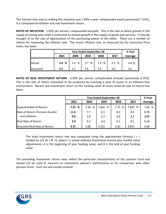The interest rate used in making this valuation was 7.00% a year, compounded yearly (previously 7.25%). It is composed of inflation and real investment return.

**RATES OF INFLATION**. 2.50% per annum, compounded annually. This is the rate at which growth in the supply of money and credit is estimated to exceed growth in the supply of goods and services. It may be thought of as the rate of depreciation of the purchasing power of the dollar. There are a number of indices for measuring the inflation rate. The recent inflation rate, as measured by the Consumer Price Index, has been:

|           |         | <b>Year Ended September 30</b> |       |      |      |         |  |  |  |
|-----------|---------|--------------------------------|-------|------|------|---------|--|--|--|
|           | 2021    | 2020                           | 2019  | 2018 | 2017 | Average |  |  |  |
| Actual    | 5.4%    | $1.4 \t%$                      | 1.7 % | 2.3% | 2.2% | 2.6 %   |  |  |  |
| llAssumed | $2.5\,$ | 2.5                            | 2.5   | 2.5  | 3.0  | 2.6     |  |  |  |

**RATES OF REAL INVESTMENT RETURN**. 4.50% per annum, compounded annually (previously 4.75%). This is the rate of return estimated to be produced by investing a pool of assets in an inflation-free environment. Recent real investment return on the funding value of assets (internal rate of return) has been:

|                                 |           | <b>Year Ended September 30</b> |         |        |         |         |  |
|---------------------------------|-----------|--------------------------------|---------|--------|---------|---------|--|
|                                 | 2021      | 2020                           | 2019    | 2018   | 2017    | Average |  |
| Expected Rate of Return         | 7.25<br>% | 7.50<br>℅                      | 7.625 % | 7.75 % | 7.875 % | 7.60 %  |  |
| Rate of Return (Pension Assets) | 11.3      | 7.7                            | 8.1     | 8.4    | 8.4     | 8.78    |  |
| less inflation                  | 5.4       | 1.4                            | 1.7     | 2.3    | 2.2     | 2.60    |  |
| Real Rate of Return             | 5.9       | 6.3                            | 6.4     | 6.1    | 6.2     | 6.18    |  |
| Assumed Real Rate of Return     | 4.75      | 5.00                           | 5.125   | 5.25   | 4.875   | 5.00    |  |

The total investment return rate was computed using the approximate formula  $i = 1$ divided by  $1/2$  (A + B - I), where I is actual ordinary investment income plus market value adjustments, A is the beginning of year funding value, and B is the end of year funding value.

The preceding investment return rates reflect the particular characteristics of this pension fund and should not be used to measure an investment advisor's performance or for comparison with other pension funds. Such use will usually mislead.

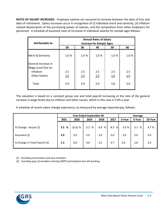**RATES OF SALARY INCREASES**. Employee salaries are assumed to increase between the date of hire and date of retirement. Salary increases occur in recognition of (i) individual merit and seniority, (ii) inflation related depreciation of the purchasing power of salaries, and (iii) competition from other employers for personnel. A schedule of assumed rates of increases in individual salaries for sample ages follows:

| <b>Attributable to:</b>                   | <b>Annual Rates of Salary</b><br><b>Increase for Sample Ages</b> |       |       |      |       |  |  |
|-------------------------------------------|------------------------------------------------------------------|-------|-------|------|-------|--|--|
|                                           | 20<br>30<br>40<br>50<br>60                                       |       |       |      |       |  |  |
| Merit & Seniority                         | 1.0 %                                                            | 1.0 % | 1.0 % | 1.0% | 1.0 % |  |  |
| General Increase in<br>Wage Level Due to: |                                                                  |       |       |      |       |  |  |
| Inflation                                 | 2.5                                                              | 2.5   | 2.5   | 2.5  | 2.5   |  |  |
| Other factors                             | 1.5                                                              | 1.5   | 1.5   | 1.5  | 1.5   |  |  |
| Total                                     | 5.0                                                              | 5.0   | 5.0   | 5.0  | 5.0   |  |  |

The valuation is based on a constant group size and total payroll increasing at the rate of the general increase in wage levels due to inflation and other causes, which in this case is 5.0% a year.

A schedule of recent salary change experience, as measured by average reported pay, follows:

|                               | <b>Year Ended September 30</b> |           |       |       | Average |        |        |         |
|-------------------------------|--------------------------------|-----------|-------|-------|---------|--------|--------|---------|
|                               | 2021                           | 2020      | 2019  | 2018  | 2017    | 3-Year | 5-Year | 10-Year |
| % Change: Actual (1)          | 5.5 %                          | $(0.3)$ % | 5.2 % | 6.9 % | 8.3 %   | 3.5%   | 5.1 %  | 4.7 %   |
| Assumed (1)                   | 5.0                            | 5.0       | 5.0   | 5.0   | 5.0     | 5.0    | 5.0    | 5.0     |
| % Change in Total Payroll (2) | 1.3                            | 0.0       | 4.6   | 2.5   | 5.7     | 2.0    | 2.8    | 2.4     |

*(1) Excluding termination and new members.*

*(2) Including pays of members electing DROP participation but still working.*

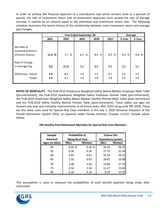In order to achieve the financial objective of a contribution rate which remains level as a percent of payroll, the rate of investment return (net of investment expenses) must exceed the rate of average increase in salaries by an amount equal to the estimated real investment return rate. The following schedule illustrates the recent history of the relationship between total investment return and average pay changes.

|                                                             |            | <b>Year Ended September 30</b> |            |            |            |            |            |
|-------------------------------------------------------------|------------|--------------------------------|------------|------------|------------|------------|------------|
|                                                             | 2021       | 2020                           | 2019       | 2018       | 2017       | 3-Year     | 5-Year     |
| Net Rate of<br><b>Investment Return</b><br>(Pension Assets) | 11.3 %     | 7.7 %                          | 8.1 %      | 8.4 %      | 8.4 %      | 9.0%       | 8.8 %      |
| Rate of Change<br>in Average Pay                            | 5.5        | (0.3)                          | 5.2        | 6.9        | 8.3        | 3.5        | 5.1        |
| Difference: Actual<br>Target                                | 5.8<br>2.3 | 8.0<br>2.5                     | 2.9<br>2.6 | 1.5<br>2.8 | 0.1<br>2.8 | 5.6<br>2.5 | 3.7<br>2.6 |

**RATES OF MORTALITY**. The PUB-2010 Headcount Weighted Safety Below Median Employee Male Table (pre-retirement), the PUB-2010 Headcount Weighted Safety Employee Female Table (pre-retirement), the PUB-2010 Headcount Weighted Safety Below Median Healthy Retiree Male Table (post-retirement) and the PUB-2010 Safety Healthy Retiree Female Table (post-retirement). These tables use ages set forward one year and mortality improvements to all future years after 2010 using scale MP-2018. These are the same rates used for Special Risk Class members in the July 1, 2020 Actuarial Valuation of the Florida Retirement System (FRS), as required under Florida Statutes, Chapter 112.63. Sample values follow:

#### **FRS Healthy Post-Retirement Mortality for Special Risk Class Members**

| Sample          | Probability of         |       | <b>Future Life</b>        |       |  |
|-----------------|------------------------|-------|---------------------------|-------|--|
| <b>Attained</b> | <b>Dying Next Year</b> |       | <b>Expectancy (years)</b> |       |  |
| Ages (in 2021)  | Men                    | Women | Men                       | Women |  |
| 50              | 0.42%                  | 0.20% | 32.50                     | 36.33 |  |
| 55              | 0.56                   | 0.36  | 27.73                     | 31.30 |  |
| 60              | 0.92                   | 0.61  | 23.14                     | 26.51 |  |
| 65              | 1.32                   | 0.92  | 18.87                     | 22.00 |  |
| 70              | 2.08                   | 1.45  | 14.86                     | 17.74 |  |
| 75              | 3.54                   | 2.42  | 11.27                     | 13.82 |  |
| 80              | 6.30                   | 4.16  | 8.19                      | 10.35 |  |

This assumption is used to measure the probabilities of each benefit payment being made after retirement.

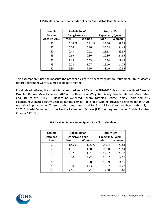| Sample          | <b>Probability of</b>  |       | <b>Future Life</b>        |       |
|-----------------|------------------------|-------|---------------------------|-------|
| <b>Attained</b> | <b>Dying Next Year</b> |       | <b>Expectancy (years)</b> |       |
| Ages (in 2021)  | Men                    | Women | Men                       | Women |
| 50              | 0.16%                  | 0.11% | 35.66                     | 39.58 |
| 55              | 0.26                   | 0.16  | 30.58                     | 34.44 |
| 60              | 0.43                   | 0.22  | 25.63                     | 29.37 |
| 65              | 0.69                   | 0.30  | 20.86                     | 24.35 |
| 70              | 1.18                   | 0.55  | 16.34                     | 19.45 |
| 75              | 2.08                   | 1.07  | 12.10                     | 14.75 |
| 80              | 6.30                   | 4.16  | 8.19                      | 10.35 |

**FRS Healthy Pre-Retirement Mortality for Special Risk Class Members**

This assumption is used to measure the probabilities of members dying before retirement. 50% of deaths before retirement were assumed to be duty related.

For disabled retirees, the mortality tables used were 80% of the PUB-2010 Headcount Weighted General Disabled Retiree Male Table and 20% of the Headcount Weighted Safety Disabled Retiree Male Table, and 80% of the PUB-2010 Headcount Weighted General Disabled Retiree Female Table and 20% Headcount Weighted Safety Disabled Retiree Female Table, both with no provision being made for future mortality improvements. These are the same rates used for Special Risk Class members in the July 1, 2020 Actuarial Valuation of the Florida Retirement System (FRS), as required under Florida Statutes, Chapter 112.63.

| Sample          | Probability of         |        | <b>Future Life</b>        |       |
|-----------------|------------------------|--------|---------------------------|-------|
| <b>Attained</b> | <b>Dying Next Year</b> |        | <b>Expectancy (years)</b> |       |
| Ages            | Men                    | Women  | Men                       | Women |
| 50              | 1.45 %                 | 1.25 % | 24.04                     | 26.84 |
| 55              | 1.91                   | 1.50   | 20.88                     | 23.54 |
| 60              | 2.37                   | 1.81   | 17.92                     | 20.32 |
| 65              | 3.00                   | 2.22   | 15.07                     | 17.17 |
| 70              | 3.91                   | 2.90   | 12.39                     | 14.10 |
| 75              | 5.30                   | 4.13   | 9.87                      | 11.22 |
| 80              | 7.66                   | 6.21   | 7.60                      | 8.67  |

#### **FRS Disabled Mortality for Special Risk Class Members**

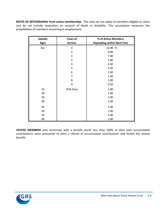**RATES OF WITHDRAWAL from active membership**. The rates do not apply to members eligible to retire and do not include separation on account of death or disability. This assumption measures the probabilities of members remaining in employment.

| Sample      | <b>Years of</b> | % of Active Members                |
|-------------|-----------------|------------------------------------|
| <b>Ages</b> | <b>Service</b>  | <b>Separating within Next Year</b> |
| <b>ALL</b>  | 0               | 12.00 %                            |
|             | $\mathbf{1}$    | 9.00                               |
|             | $\overline{2}$  | 7.00                               |
|             | 3               | 5.00                               |
|             | 4               | 4.50                               |
|             | 5               | 3.50                               |
|             | 6               | 2.50                               |
|             | 7               | 1.50                               |
|             | 8               | 1.00                               |
|             | 9               | 0.50                               |
| 25          | 10 & Over       | 1.00                               |
| 30          |                 | 1.00                               |
| 35          |                 | 1.00                               |
| 40          |                 | 1.00                               |
| 45          |                 | 1.00                               |
| 50          |                 | 1.00                               |
| 55          |                 | 1.00                               |
| 60          |                 | 1.00                               |

**VESTED MEMBERS** who terminate with a benefit worth less than 100% of their own accumulated contributions were presumed to elect a refund of accumulated contributions and forfeit the vested benefit.

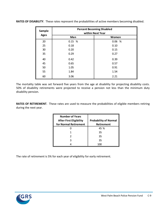| <b>Sample</b> | <b>Percent Becoming Disabled</b><br>within Next Year |       |  |  |  |  |
|---------------|------------------------------------------------------|-------|--|--|--|--|
| <b>Ages</b>   | Men                                                  | Women |  |  |  |  |
| 20            | 0.15%                                                | 0.06% |  |  |  |  |
| 25            | 0.18                                                 | 0.10  |  |  |  |  |
| 30            | 0.20                                                 | 0.15  |  |  |  |  |
| 35            | 0.29                                                 | 0.27  |  |  |  |  |
| 40            | 0.42                                                 | 0.39  |  |  |  |  |
| 45            | 0.65                                                 | 0.57  |  |  |  |  |
| 50            | 1.05                                                 | 0.91  |  |  |  |  |
| 55            | 1.84                                                 | 1.54  |  |  |  |  |
| 60            | 3.06                                                 | 2.21  |  |  |  |  |

**RATES OF DISABILITY**. These rates represent the probabilities of active members becoming disabled.

The mortality table was set forward five years from the age at disability for projecting disability costs. 50% of disability retirements were projected to receive a pension not less than the minimum duty disability pension.

**RATES OF RETIREMENT**. These rates are used to measure the probabilities of eligible members retiring during the next year.

| <b>Number of Years</b><br><b>After First Eligibility</b><br>for Normal Retirement | <b>Probability of Normal</b><br>Retirement |
|-----------------------------------------------------------------------------------|--------------------------------------------|
|                                                                                   | 45 %                                       |
|                                                                                   | 35                                         |
| 2                                                                                 | 35                                         |
| 3                                                                                 | 35                                         |
|                                                                                   |                                            |

The rate of retirement is 5% for each year of eligibility for early retirement.

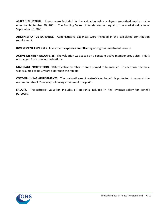**ASSET VALUATION***.* Assets were included in the valuation using a 4-year smoothed market value effective September 30, 2001. The Funding Value of Assets was set equal to the market value as of September 30, 2021.

**ADMINISTRATIVE EXPENSES**. Administrative expenses were included in the calculated contribution requirement.

**INVESTMENT EXPENSES**. Investment expenses are offset against gross investment income.

**ACTIVE MEMBER GROUP SIZE**. The valuation was based on a constant active member group size. This is unchanged from previous valuations.

**MARRIAGE PROPORTION**. 90% of active members were assumed to be married. In each case the male was assumed to be 3 years older than the female.

**COST-OF-LIVING ADJUSTMENTS**. The post-retirement cost-of-living benefit is projected to occur at the maximum rate of 3% a year, following attainment of age 65.

**SALARY**. The actuarial valuation includes all amounts included in final average salary for benefit purposes.

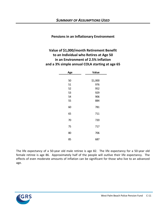#### **Pensions in an Inflationary Environment**

### **Value of \$1,000/month Retirement Benefit to an Individual who Retires at Age 50 in an Environment of 2.5% Inflation and a 3% simple annual COLA starting at age 65**

| Age | Value   |
|-----|---------|
|     |         |
| 50  | \$1,000 |
| 51  | 976     |
| 52  | 952     |
| 53  | 929     |
| 54  | 906     |
| 55  | 884     |
| 60  | 781     |
| 65  | 711     |
| 70  | 720     |
| 75  | 717     |
| 80  | 706     |
| 85  | 687     |

The life expectancy of a 50-year old male retiree is age 82. The life expectancy for a 50-year old female retiree is age 86. Approximately half of the people will outlive their life expectancy. The effects of even moderate amounts of inflation can be significant for those who live to an advanced age.

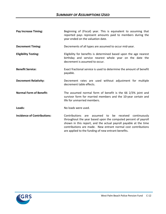| <b>Pay Increase Timing:</b>        | Beginning of (Fiscal) year. This is equivalent to assuming that<br>reported pays represent amounts paid to members during the<br>year ended on the valuation date.                                                                                                                                                  |  |  |  |
|------------------------------------|---------------------------------------------------------------------------------------------------------------------------------------------------------------------------------------------------------------------------------------------------------------------------------------------------------------------|--|--|--|
| <b>Decrement Timing:</b>           | Decrements of all types are assumed to occur mid-year.                                                                                                                                                                                                                                                              |  |  |  |
| <b>Eligibility Testing:</b>        | Eligibility for benefits is determined based upon the age nearest<br>birthday and service nearest whole year on the date the<br>decrement is assumed to occur.                                                                                                                                                      |  |  |  |
| <b>Benefit Service:</b>            | Exact fractional service is used to determine the amount of benefit<br>payable.                                                                                                                                                                                                                                     |  |  |  |
| <b>Decrement Relativity:</b>       | Decrement rates are used without adjustment for multiple<br>decrement table effects.                                                                                                                                                                                                                                |  |  |  |
| <b>Normal Form of Benefit:</b>     | The assumed normal form of benefit is the 66 2/3% joint and<br>survivor form for married members and the 10-year certain and<br>life for unmarried members.                                                                                                                                                         |  |  |  |
| Loads:                             | No loads were used.                                                                                                                                                                                                                                                                                                 |  |  |  |
| <b>Incidence of Contributions:</b> | Contributions are assumed to be received continuously<br>throughout the year based upon the computed percent of payroll<br>shown in this report, and the actual payroll payable at the time<br>contributions are made. New entrant normal cost contributions<br>are applied to the funding of new entrant benefits. |  |  |  |

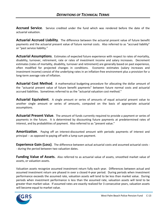**Accrued Service**. Service credited under the fund which was rendered before the date of the actuarial valuation.

**Actuarial Accrued Liability**. The difference between the actuarial present value of future benefit payments and the actuarial present value of future normal costs. Also referred to as "accrued liability" or "past service liability."

**Actuarial Assumptions**. Estimates of expected future experience with respect to rates of mortality, disability, turnover, retirement, rate or rates of investment income and salary increases. Decrement estimates (rates of mortality, disability, turnover and retirement) are generally based on past experience, often modified for projected changes in conditions. Economic estimates (salary increases and investment income) consist of the underlying rates in an inflation-free environment plus a provision for a long-term average rate of inflation.

**Actuarial Cost Method**. A mathematical budgeting procedure for allocating the dollar amount of the "actuarial present value of future benefit payments" between future normal costs and actuarial accrued liabilities. Sometimes referred to as the "actuarial valuation cost method."

**Actuarial Equivalent**. A single amount or series of amounts of equal actuarial present value to another single amount or series of amounts, computed on the basis of appropriate actuarial assumptions.

**Actuarial Present Value**. The amount of funds currently required to provide a payment or series of payments in the future. It is determined by discounting future payments at predetermined rates of interest, and by probabilities of payment. Also referred to as "present value."

**Amortization**. Paying off an interest-discounted amount with periodic payments of interest and principal -- as opposed to paying off with a lump sum payment.

**Experience Gain (Loss)**. The difference between actual actuarial costs and assumed actuarial costs - - during the period between two valuation dates.

**Funding Value of Assets.** Also referred to as actuarial value of assets, smoothed market value of assets, or valuation assets.

Valuation assets recognize assumed investment return fully each year. Differences between actual and assumed investment return are phased in over a closed 4-year period. During periods when investment performance exceeds the assumed rate, valuation assets will tend to be less than market value. During periods when investment performance is less than the assumed rate, valuation assets will tend to be greater than market value. If assumed rates are exactly realized for 3 consecutive years, valuation assets will become equal to market value.

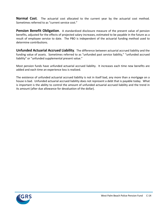**Normal Cost**. The actuarial cost allocated to the current year by the actuarial cost method. Sometimes referred to as "current service cost."

**Pension Benefit Obligation.** A standardized disclosure measure of the present value of pension benefits, adjusted for the effects of projected salary increases, estimated to be payable in the future as a result of employee service to date. The PBO is independent of the actuarial funding method used to determine contributions.

**Unfunded Actuarial Accrued Liability**. The difference between actuarial accrued liability and the funding value of assets. Sometimes referred to as "unfunded past service liability," "unfunded accrued liability" or "unfunded supplemental present value."

Most pension funds have unfunded actuarial accrued liability. It increases each time new benefits are added and each time an experience loss is realized.

The existence of unfunded actuarial accrued liability is not in itself bad, any more than a mortgage on a house is bad. Unfunded actuarial accrued liability does not represent a debt that is payable today. What is important is the ability to control the amount of unfunded actuarial accrued liability and the trend in its amount (after due allowance for devaluation of the dollar).

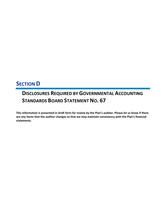## **SECTION D**

# **DISCLOSURES REQUIRED BY GOVERNMENTAL ACCOUNTING STANDARDS BOARD STATEMENT NO. 67**

**This information is presented in draft form for review by the Plan's auditor. Please let us know if there are any items that the auditor changes so that we may maintain consistency with the Plan's financial statements.**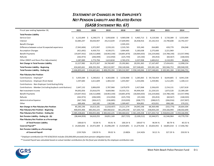### *STATEMENT OF CHANGES IN THE EMPLOYER'S NET PENSION LIABILITY AND RELATED RATIOS (GASB STATEMENT NO. 67)*

| Fiscal year ending September 30,                         | 2021            | 2020                     | 2019                     | 2018                     | 2017                        | 2016                | 2015                     | 2014                     |
|----------------------------------------------------------|-----------------|--------------------------|--------------------------|--------------------------|-----------------------------|---------------------|--------------------------|--------------------------|
| <b>Total Pension Liability</b>                           |                 |                          |                          |                          |                             |                     |                          |                          |
| Service Cost                                             | 6,132,849<br>Ś. | 6,248,573<br>\$          | 5,950,838<br>-\$         | - \$<br>4,969,598        | - \$<br>$4,465,713$ \$      | 4,119,566           | -Ś<br>3,720,389          | 3,553,404<br>-S          |
| Interest                                                 | 32,083,247      | 30,656,907               | 29,213,639               | 27,649,993               | 26,458,916                  | 25,142,553          | 23,790,608               | 22,792,357               |
| <b>Benefit Changes</b>                                   |                 |                          |                          | 2,595,355                |                             |                     |                          |                          |
| Difference between actual & expected experience          | (7,942,606)     | 1,972,997                | 2,559,101                | 2,535,765                | 335,340                     | 264,885             | 439,779                  | 294,048                  |
| <b>Assumption Changes</b>                                | (421, 692)      | 4,439,753                | 4,539,371                | 3,904,405                | 5,183,638                   | 2,275,600           | 2,221,969                |                          |
| <b>Benefit Payments</b>                                  | (19,647,932)    | (18,512,808)             | (18,963,330)             | (18,801,870)             | (18,064,650)                | (16, 224, 666)      | (14, 788, 140)           | (13,557,996)             |
| Refunds                                                  | (262, 973)      | (206, 949)               | (152, 950)               | (225, 759)               | (25, 530)                   | (93, 453)           | (60, 567)                | (168, 503)               |
| Other (DROP and Share Plan Adjustments)                  | 2,287,089       | 1,773,794                | 1,613,818                | 2,765,374                | 2,237,938                   | 1,683,012           | 2,110,393                | 84,844                   |
| Net Change in Total Pension Liability                    | 12,227,982      | 26,372,267               | 24,760,487               | 25,392,861               | 20,591,365                  | 17,167,497          | 17,434,431               | 12,998,154               |
| <b>Total Pension Liability - Beginning</b>               | 434,665,661     | 408,293,394              | 383,532,907              | 358,140,046              | 337,548,681                 | 320,381,184         | 302,946,753              | 289,948,599              |
| <b>Total Pension Liability - Ending (a)</b>              | \$446,893,643   | \$434,665,661            | \$408,293,394            | \$383,532,907            | \$358,140,046               | \$337,548,681       | \$320,381,184            | \$302,946,753            |
| <b>Plan Fiduciary Net Position</b>                       |                 |                          |                          |                          |                             |                     |                          |                          |
| Contributions - Employer*                                | 5,935,584<br>Ś. | 5,240,652 \$<br>- Ś      | 4,363,006 \$             | 3,556,968 \$             | 3,285,065                   | 59,726,454 \$<br>-Ś | 8,644,805 \$             | 8,941,538                |
| Contributions - Employer (from State)                    | 1,597,683       | 1,611,609                | 1,483,310                | 1,455,967                | 1,333,046                   | 1,259,981           | 1,212,205                | 1,100,113                |
| Contributions - Non-Employer Contributing Entity         |                 | $\overline{\phantom{a}}$ | $\overline{\phantom{a}}$ | $\overline{\phantom{a}}$ | $\overline{\phantom{a}}$    | $\sim$              | $\overline{\phantom{a}}$ |                          |
| Contributions - Member (including buyback contributions) | 2,647,132       | 2,806,839                | 2,787,968                | 2,679,979                | 2,427,068                   | 2,336,635           | 2,154,131                | 1,927,618                |
| Net Investment Income                                    | 94,692,056      | 25,816,070               | 9,669,966                | 33,555,721               | 44,494,434                  | 21,229,525          | 1,873,520                | 22,389,189               |
| <b>Benefit Payments</b>                                  | (19,647,932)    | (18, 512, 808)           | (18, 963, 330)           | (18,801,870)             | (18,064,650)                | (16, 224, 666)      | (14, 788, 140)           | (13,557,996)             |
| Refunds                                                  | (262, 973)      | (206, 949)               | (152, 950)               | (225, 759)               | (25, 530)                   | (93, 453)           | (60, 567)                | (168, 503)               |
| Administrative Expense                                   | (367, 760)      | (304, 417)               | (336, 885)               | (319,039)                | (308, 777)                  | (288, 017)          | (266, 916)               | (337, 907)               |
| Other                                                    | 689,406         | 162,185                  | 130,508                  | 1,309,407                | 904,892                     | 423,031             | 898,188                  | 370,252                  |
| Net Change in Plan Fiduciary Net Position                | 85,283,196      | 16,613,181               | (1,018,407)              | 23,211,374               | 34,045,548                  | 68,369,490          | (332, 774)               | 20,664,304               |
| <b>Plan Fiduciary Net Position - Beginning</b>           | 400,055,406     | 383,442,225              | 384,460,632              | 361,249,258              | 327,203,710                 | 258,834,220         | 259,166,994              | 238,502,690              |
| Plan Fiduciary Net Position - Ending (b)                 | \$485,338,602   | \$400,055,406            | \$383,442,225            | \$384,460,632            | \$361,249,258               | \$327,203,710       | \$258,834,220            | \$259,166,994            |
| Net Pension Liability - Ending (a) - (b)                 | (38, 444, 959)  | 34,610,255               | 24,851,169               | (927, 725)               | (3, 109, 212)               | 10,344,971          | 61,546,964               | 43,779,759               |
| Plan Fiduciary Net Position as a Percentage              |                 |                          |                          |                          |                             |                     |                          |                          |
| of Total Pension Liability                               | 108.60 %        | 92.04 %                  | 93.91 %                  | 100.24 %                 | 100.87 %                    | 96.94 %             | 80.79 %                  | 85.55 %                  |
| <b>Covered Payroll**</b>                                 | \$24,064,836    | \$<br>24,972,409         | \$25,098,209             | \$                       | 23,929,891 \$ 21,679,436 \$ | 20,603,955 \$       |                          | 18,805,018 \$ 17,446,782 |
| Net Pension Liability as a Percentage                    |                 |                          |                          |                          |                             |                     |                          |                          |
| of Covered Payroll                                       | $(159.76)\%$    | 138.59 %                 | 99.02 %                  | $(3.88)\%$               | $(14.34)\%$                 | 50.21 %             | 327.29 %                 | 250.93 %                 |

*\* Employer contribution for FYE 9/30/2016 includes \$50,000,000 proceeds from pension obligation bond.*

*\*\* Covered Payroll was calculated based on actual member contributions for the fiscal year divided by the employee contribution rate.*

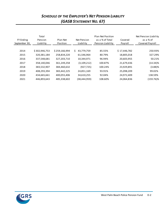### *SCHEDULE OF THE EMPLOYER'S NET PENSION LIABILITY (GASB STATEMENT NO. 67)*

| <b>FY Ending</b><br>September 30, | Total<br>Pension<br>Liability | Plan Net<br>Position | Net Pension<br>Liability | Plan Net Position<br>as a % of Total<br>Pension Liability | Covered<br>Payroll | Net Pension Liability<br>as a % of<br>Covered Payroll |
|-----------------------------------|-------------------------------|----------------------|--------------------------|-----------------------------------------------------------|--------------------|-------------------------------------------------------|
| 2014                              | \$302,946,753                 | \$259,166,994        | \$.<br>43,779,759        | 85.55%                                                    | \$17,446,782       | 250.93%                                               |
| 2015                              | 320,381,184                   | 258,834,220          | 61,546,964               | 80.79%                                                    | 18,805,018         | 327.29%                                               |
| 2016                              | 337,548,681                   | 327,203,710          | 10,344,971               | 96.94%                                                    | 20,603,955         | 50.21%                                                |
| 2017                              | 358,140,046                   | 361,249,258          | (3, 109, 212)            | 100.87%                                                   | 21,679,436         | $(14.34)\%$                                           |
| 2018                              | 383,532,907                   | 384,460,632          | (927, 725)               | 100.24%                                                   | 23,929,891         | $(3.88)$ %                                            |
| 2019                              | 408,293,394                   | 383,442,225          | 24,851,169               | 93.91%                                                    | 25,098,209         | 99.02%                                                |
| 2020                              | 434,665,661                   | 400,055,406          | 34,610,255               | 92.04%                                                    | 24,972,409         | 138.59%                                               |
| 2021                              | 446,893,643                   | 485,338,602          | (38,444,959)             | 108.60%                                                   | 24,064,836         | (159.76)%                                             |

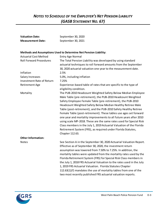### *NOTES TO SCHEDULE OF THE EMPLOYER'S NET PENSION LIABILITY (GASB STATEMENT NO. 67)*

| <b>Valuation Date:</b>           | September 30, 2020                                                                                                                                                                                                                                                                                                                                                                                                                                                                                                                                                                                                                                                                                          |  |  |  |  |  |  |
|----------------------------------|-------------------------------------------------------------------------------------------------------------------------------------------------------------------------------------------------------------------------------------------------------------------------------------------------------------------------------------------------------------------------------------------------------------------------------------------------------------------------------------------------------------------------------------------------------------------------------------------------------------------------------------------------------------------------------------------------------------|--|--|--|--|--|--|
| <b>Measurement Date:</b>         | September 30, 2021                                                                                                                                                                                                                                                                                                                                                                                                                                                                                                                                                                                                                                                                                          |  |  |  |  |  |  |
|                                  |                                                                                                                                                                                                                                                                                                                                                                                                                                                                                                                                                                                                                                                                                                             |  |  |  |  |  |  |
|                                  | Methods and Assumptions Used to Determine Net Pension Liability:                                                                                                                                                                                                                                                                                                                                                                                                                                                                                                                                                                                                                                            |  |  |  |  |  |  |
| <b>Actuarial Cost Method</b>     | <b>Entry Age Normal</b>                                                                                                                                                                                                                                                                                                                                                                                                                                                                                                                                                                                                                                                                                     |  |  |  |  |  |  |
| <b>Roll Forward Procedures</b>   | The Total Pension Liability was developed by using standard<br>actuarial techniques to roll forward amounts from the September<br>30, 2020 actuarial valuation one year to the measurement date.                                                                                                                                                                                                                                                                                                                                                                                                                                                                                                            |  |  |  |  |  |  |
| Inflation                        | 2.5%                                                                                                                                                                                                                                                                                                                                                                                                                                                                                                                                                                                                                                                                                                        |  |  |  |  |  |  |
| Salary Increases                 | 5.0%, including inflation                                                                                                                                                                                                                                                                                                                                                                                                                                                                                                                                                                                                                                                                                   |  |  |  |  |  |  |
| <b>Investment Rate of Return</b> | 7.25%                                                                                                                                                                                                                                                                                                                                                                                                                                                                                                                                                                                                                                                                                                       |  |  |  |  |  |  |
| <b>Retirement Age</b>            | Experience-based table of rates that are specific to the type of<br>eligibility condition.                                                                                                                                                                                                                                                                                                                                                                                                                                                                                                                                                                                                                  |  |  |  |  |  |  |
| Mortality                        | The PUB-2010 Headcount Weighted Safety Below Median Employee<br>Male Table (pre-retirement), the PUB-2010 Headcount Weighted<br>Safety Employee Female Table (pre-retirement), the PUB-2010<br>Headcount Weighted Safety Below Median Healthy Retiree Male<br>Table (post-retirement), and the PUB-2010 Safety Healthy Retiree<br>Female Table (post-retirement). These tables use ages set forward<br>one year and mortality improvements to all future years after 2010<br>using scale MP-2018. These are the same rates used for Special Risk<br>Class members in the July 1, 2019 Actuarial Valuation of the Florida<br>Retirement System (FRS), as required under Florida Statutes,<br>Chapter 112.63. |  |  |  |  |  |  |
| <b>Other Information:</b>        |                                                                                                                                                                                                                                                                                                                                                                                                                                                                                                                                                                                                                                                                                                             |  |  |  |  |  |  |
| <b>Notes</b>                     | See Section A in the September 30, 2020 Actuarial Valuation Report.<br>Effective as of September 30, 2020, the investment return<br>assumption was lowered from 7.50% to 7.25%. In addition, the<br>mortality tables were updated from the mortality rates used by the<br>Florida Retirement System (FRS) for Special Risk Class members in<br>the July 1, 2018 FRS Actuarial Valuation to the rates used in the July<br>1, 2019 FRS Actuarial Valuation. Florida Statutes Chapter<br>112.63(1)(f) mandates the use of mortality tables from one of the<br>two most recently published FRS actuarial valuation reports.                                                                                     |  |  |  |  |  |  |

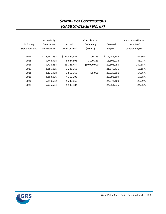### *SCHEDULE OF CONTRIBUTIONS (GASB STATEMENT NO. 67)*

|                  | Actuarially     |               | Contribution             |              | <b>Actual Contribution</b> |
|------------------|-----------------|---------------|--------------------------|--------------|----------------------------|
| <b>FY Ending</b> | Determined      | Actual        | Deficiency               | Covered      | as a % of                  |
| September 30,    | Contribution    | Contribution* | (Excess)                 | Payroll      | Covered Payroll            |
|                  |                 |               |                          |              |                            |
| 2014             | \$<br>8,941,538 | \$10,041,651  | \$<br>(1,100,113)        | \$17,446,782 | 57.56%                     |
| 2015             | 9,744,918       | 8,644,805     | 1,100,113                | 18,805,018   | 45.97%                     |
| 2016             | 9,726,454       | 59,726,454    | (50,000,000)             | 20,603,955   | 289.88%                    |
| 2017             | 3,285,065       | 3,285,065     | $\overline{\phantom{0}}$ | 21,679,436   | 15.15%                     |
| 2018             | 3,131,968       | 3,556,968     | (425,000)                | 23,929,891   | 14.86%                     |
| 2019             | 4,363,006       | 4,363,006     |                          | 25,098,209   | 17.38%                     |
| 2020             | 5,240,652       | 5,240,652     |                          | 24,972,409   | 20.99%                     |
| 2021             | 5,935,584       | 5,935,584     |                          | 24,064,836   | 24.66%                     |
|                  |                 |               |                          |              |                            |

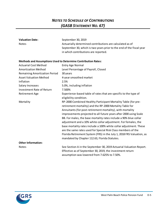### *NOTES TO SCHEDULE OF CONTRIBUTIONS (GASB STATEMENT NO. 67)*

| <b>Valuation Date:</b>               | September 30, 2019                                                    |
|--------------------------------------|-----------------------------------------------------------------------|
| <b>Notes</b>                         | Actuarially determined contributions are calculated as of             |
|                                      | September 30, which is two years prior to the end of the fiscal year  |
|                                      | in which contributions are reported.                                  |
|                                      |                                                                       |
|                                      | <b>Methods and Assumptions Used to Determine Contribution Rates:</b>  |
| <b>Actuarial Cost Method</b>         | <b>Entry Age Normal</b>                                               |
| <b>Amortization Method</b>           | Level Percentage of Payroll, Closed                                   |
| <b>Remaining Amortization Period</b> | 30 years                                                              |
| <b>Asset Valuation Method</b>        | 4-year smoothed market                                                |
| Inflation                            | 2.5%                                                                  |
| Salary Increases                     | 5.0%, including inflation                                             |
| <b>Investment Rate of Return</b>     | 7.500%                                                                |
| <b>Retirement Age</b>                | Experience-based table of rates that are specific to the type of      |
|                                      | eligibility condition.                                                |
| Mortality                            | RP-2000 Combined Healthy Participant Mortality Table (for pre-        |
|                                      | retirement mortality) and the RP-2000 Mortality Table for             |
|                                      | Annuitants (for post-retirement mortality), with mortality            |
|                                      | improvements projected to all future years after 2000 using Scale     |
|                                      | BB. For males, the base mortality rates include a 90% blue collar     |
|                                      | adjustment and a 10% white collar adjustment. For females, the        |
|                                      | base mortality rates include a 100% white collar adjustment. These    |
|                                      | are the same rates used for Special Risk Class members of the         |
|                                      | Florida Retirement System (FRS) in the July 1, 2018 FRS Valuation, as |
|                                      | mandated by Chapter 112.63, Florida Statutes.                         |
| <b>Other Information:</b>            |                                                                       |
| <b>Notes</b>                         | See Section A in the September 30, 2019 Actuarial Valuation Report.   |
|                                      | Effective as of September 30, 2019, the investment return             |
|                                      | assumption was lowered from 7.625% to 7.50%.                          |

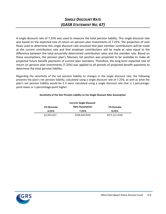A single discount rate of 7.25% was used to measure the total pension liability. This single discount rate was based on the expected rate of return on pension plan investments of 7.25%. The projection of cash flows used to determine this single discount rate assumed that plan member contributions will be made at the current contribution rate and that employer contributions will be made at rates equal to the difference between the total actuarially determined contribution rates and the member rate. Based on these assumptions, the pension plan's fiduciary net position was projected to be available to make all projected future benefit payments of current plan members. Therefore, the long-term expected rate of return on pension plan investments (7.25%) was applied to all periods of projected benefit payments to determine the total pension liability.

Regarding the sensitivity of the net pension liability to changes in the single discount rate, the following presents the plan's net pension liability, calculated using a single discount rate of 7.25%, as well as what the plan's net pension liability would be if it were calculated using a single discount rate that is 1-percentagepoint lower or 1-percentage-point higher:

|             | <b>Current Single Discount</b> |                  |
|-------------|--------------------------------|------------------|
| 1% Decrease | <b>Rate Assumption</b>         | 1% Increase      |
| 6.25%       | 7.25%                          | 8.25%            |
| \$2,932,921 | \$(38, 444, 959)               | \$(72, 121, 418) |

#### **Sensitivity of the Net Pension Liability to the Single Discount Rate Assumption**

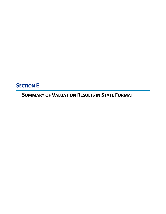**SECTION E**

**SUMMARY OF VALUATION RESULTS IN STATE FORMAT**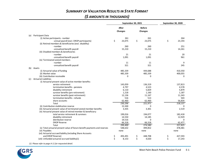### *SUMMARY OF VALUATION RESULTS IN STATE FORMAT (\$ AMOUNTS IN THOUSANDS)*

|     |                                                                           | September 30, 2021      |         |                          | September 30, 2020 |      |          |
|-----|---------------------------------------------------------------------------|-------------------------|---------|--------------------------|--------------------|------|----------|
|     |                                                                           | After<br><b>Changes</b> |         | <b>Before</b><br>Changes |                    |      |          |
| (a) | Participant Data                                                          |                         |         |                          |                    |      |          |
|     | (i) Active participants - number                                          |                         | 261     |                          | 261                |      | 264      |
|     | - annual payroll (excl. DROP participants)                                | \$                      | 23,075  | \$                       | 23,075             | \$   | 23,193   |
|     | (ii) Retired members & beneficiaries (excl. disability)                   |                         |         |                          |                    |      |          |
|     | - number                                                                  |                         | 260     |                          | 260                |      | 251      |
|     | - annualized benefit payroll                                              |                         | 15,210  |                          | 15,210             |      | 14,261   |
|     | (iii) Disabled members & beneficiaries                                    |                         |         |                          |                    |      |          |
|     | - number                                                                  |                         | 21      |                          | 21                 |      | 20       |
|     | - annualized benefit payroll                                              |                         | 1,091   |                          | 1,091              |      | 961      |
|     | (iv) Terminated vested members                                            |                         |         |                          |                    |      |          |
|     | - number                                                                  |                         | 11      |                          | 11                 |      | 9        |
|     | - annualized benefit payroll                                              |                         | 321     |                          | 321                |      | 245      |
| (b) | Assets                                                                    |                         |         |                          |                    |      |          |
|     | (i) Actuarial value of funding                                            |                         | 485,339 |                          | 444,688            |      | 410,350  |
|     | (ii) Market value                                                         |                         | 485,339 |                          | 485,339            |      | 400,055  |
|     | (iii) Contribution receivable                                             |                         | 0       |                          | $\Omega$           |      | 0        |
| (c) | <b>Actuarial Liabilities</b>                                              |                         |         |                          |                    |      |          |
|     | (i) Actuarial present value of active member benefits:                    |                         |         |                          |                    |      |          |
|     | service retirement                                                        |                         | 143,059 |                          | 136,319            |      | 137,813  |
|     | termination benefits - pensions                                           |                         | 4,797   |                          | 4,523              |      | 4,578    |
|     | disability retirement                                                     |                         | 6,110   |                          | 5,829              |      | 5,879    |
|     | survivor benefits (pre-retirement)                                        |                         | 1,218   |                          | 1,160              |      | 1,187    |
|     | survivor benefits (post-retirement)                                       |                         | 12,136  |                          | 11,167             |      | 11,343   |
|     | termination benefits - refunds                                            |                         | 516     |                          | 513                |      | 503      |
|     | share accounts                                                            |                         | 62,460  |                          | 62,460             |      | 56,834   |
|     | Total                                                                     |                         | 230,296 |                          | 221,971            |      | 218,137  |
|     | (ii) Contribution stabilization reserve                                   |                         | 15,500  |                          | 0                  |      | 0        |
|     | (iii) Actuarial present value of terminated vested member benefits        |                         | 3,435   |                          | 3,301              |      | 2,519    |
|     | (iv) Actuarial present value of retired member & beneficiary:             |                         |         |                          |                    |      |          |
|     | total service retirement & survivors                                      |                         | 199,016 |                          | 194,077            |      | 182,418  |
|     | disability retirement                                                     |                         | 14,550  |                          | 14,185             |      | 12,929   |
|     | distribution reserve                                                      |                         | 19,516  |                          | $\Omega$           |      | $\Omega$ |
|     | <b>DROP Reserve</b>                                                       |                         | 66,318  |                          | 66,318             |      | 62,477   |
|     | Total                                                                     |                         | 299,400 |                          | 274,580            |      | 257,825  |
|     | (v) Total actuarial present value of future benefit payments and reserves |                         | 548,632 |                          | 499,852            |      | 478,481  |
|     | (vi) Payables                                                             | none                    |         | none                     |                    | none |          |
|     | (vii) Actuarial accrued liability (including Share Accounts               |                         |         |                          |                    |      |          |
|     | and DROP Reserve)                                                         | \$                      | 493,491 | \$                       | 448,708            | \$   | 427,593  |
|     | (viii) Unfunded actuarial accrued liability(1)                            | \$                      | 8,153   | \$                       | 4,020              | \$   | 17,243   |

*(1) Please refer to page A-11 for requested detail.*

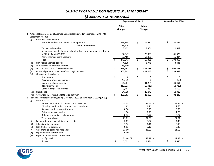### *SUMMARY OF VALUATION RESULTS IN STATE FORMAT (\$ AMOUNTS IN THOUSANDS)*

|        |                                                                                      | September 30, 2021      |           |                                 | September 30, 2020 |    |           |
|--------|--------------------------------------------------------------------------------------|-------------------------|-----------|---------------------------------|--------------------|----|-----------|
|        |                                                                                      | After<br><b>Changes</b> |           | <b>Before</b><br><b>Changes</b> |                    |    |           |
|        | (d) Actuarial Present Value of Accrued Benefits (calculated in accordance with FASB  |                         |           |                                 |                    |    |           |
|        | Statement No. 35)                                                                    |                         |           |                                 |                    |    |           |
| (i)    | Vested accrued benefits                                                              |                         |           |                                 |                    |    |           |
|        | Retired members and beneficiaries - pensions                                         | \$                      | 279,884   | \$                              | 274,580            | \$ | 257,825   |
|        | - distribution reserves                                                              |                         | 19,516    |                                 | 0                  |    | 0         |
|        | <b>Terminated members</b>                                                            |                         | 3,435     |                                 | 3,301              |    | 2,519     |
|        | Active members (includes non-forfeitable accum, member contributions                 |                         |           |                                 |                    |    |           |
|        | of \$22,610 and \$23,038)                                                            |                         | 82,047    |                                 | 78,993             |    | 81,625    |
|        | Active member share accounts                                                         |                         | 62,460    |                                 | 62,460             |    | 56,834    |
|        | Total                                                                                | Ś.                      | 447,343   | Ś.                              | 419,335            | Ś  | 398,802   |
| (iii)  | Non-vested accrued benefits                                                          |                         | 4,119     |                                 | 3,748              |    | 3,441     |
| (iii)  | Contribution stabilization reserve                                                   |                         | 15,500    |                                 | 0                  |    | 0         |
| (iv)   | Total actuarial p.v. of accrued benefits                                             | \$                      | 466,962   | \$                              | 423,083            | \$ | 402,243   |
| (v)    | Actuarial p.v. of accrued benefits at begin. of year                                 | \$                      | 402,243   | \$                              | 402,243            | Ś  | 383,932   |
| (vi)   | Changes attributable to:                                                             |                         |           |                                 |                    |    |           |
|        | Amendments                                                                           | \$                      | 0         | \$                              | 0                  | \$ | 0         |
|        | Assumption/method changes                                                            |                         | 43,879    |                                 | 0                  |    | (69)      |
|        | Operation of decrements                                                              |                         | 31,284    |                                 | 31,284             |    | 30,491    |
|        | Benefit payments                                                                     |                         | (19, 911) |                                 | (19, 911)          |    | (18, 720) |
|        | Other (Changes in Reserves)                                                          |                         | 9,467     |                                 | 9,467              |    | 6,609     |
| (vii)  | Net change                                                                           |                         | 64,719    |                                 | 20,840             |    | 18,312    |
| (viii) | Actuarial p.v. of Accr. benefits at end of year                                      | \$                      | 466,962   | \$                              | 423,083            | \$ | 402,243   |
|        | (e) Plan costs for fiscal years beginning October 1, 2021 and October 1, 2020 (EANC) |                         |           |                                 |                    |    |           |
| (i)    | Normal costs                                                                         |                         |           |                                 |                    |    |           |
|        | Service pensions (incl. post-ret. surv. pensions)                                    |                         | 25.08     |                                 | 23.56 %            |    | 23.45 %   |
|        | Disability pensions (incl. post-ret. surv. pensions)                                 |                         | 1.85      |                                 | 1.76               |    | 1.76      |
|        | Survivor pensions (pre-retirement)                                                   |                         | 0.30      |                                 | 0.29               |    | 0.30      |
|        | Deferred service pensions                                                            |                         | 1.30      |                                 | 1.23               |    | 1.23      |
|        | Refunds of member contributions                                                      |                         | 0.76      |                                 | 0.77               |    | 0.77      |
|        | Total normal cost                                                                    |                         | 29.29     |                                 | 27.61              |    | 27.51     |
| (ii)   | Payment to amortize unf'd act. accr. liab.                                           |                         | 2.87      |                                 | 0.32               |    | 4.45      |
| (iii)  | Administrative expenses                                                              |                         | 1.16      |                                 | 1.16               |    | 0.93      |
| (iv)   | FS112.64(5) Requirement                                                              |                         | 0.12      |                                 | 0.10               |    | 0.49      |
| (v)    | Amount to be paid by participants                                                    |                         | 11.00     |                                 | 11.00              |    | 11.00     |
| (vi)   | Expected state contribution                                                          |                         | 0.00      |                                 | 0.00               |    | 0.00      |
| (vii)  | Expected plan sponsor contribution                                                   |                         |           |                                 |                    |    |           |
|        | % of payroll                                                                         |                         | 22.44 %   |                                 | 18.19 %            |    | 22.38 %   |
|        | dollars                                                                              | \$                      | 5,531     | \$                              | 4,484              | \$ | 5,545     |



West Palm Beach Police Pension Fund E-2